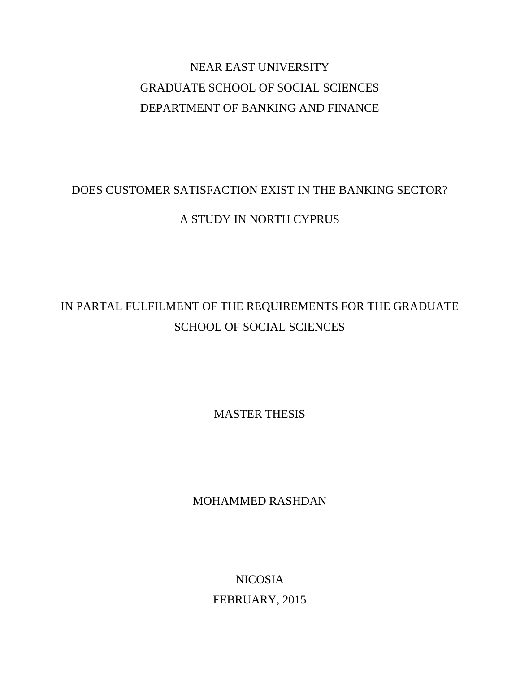# NEAR EAST UNIVERSITY GRADUATE SCHOOL OF SOCIAL SCIENCES DEPARTMENT OF BANKING AND FINANCE

# DOES CUSTOMER SATISFACTION EXIST IN THE BANKING SECTOR?

## A STUDY IN NORTH CYPRUS

# IN PARTAL FULFILMENT OF THE REQUIREMENTS FOR THE GRADUATE SCHOOL OF SOCIAL SCIENCES

MASTER THESIS

MOHAMMED RASHDAN

NICOSIA FEBRUARY, 2015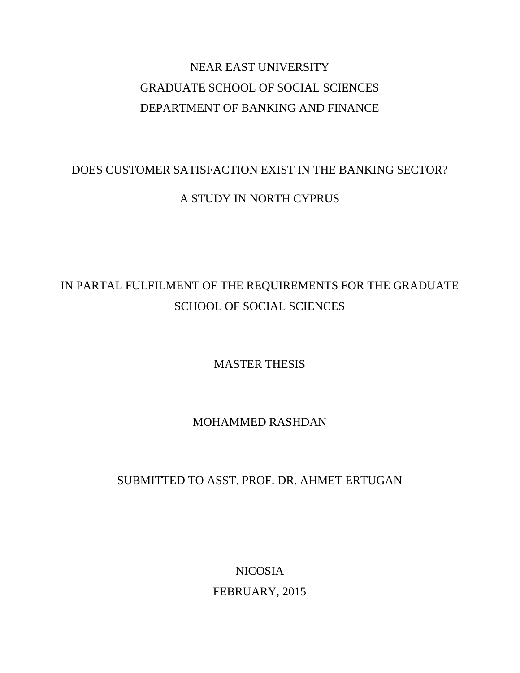# NEAR EAST UNIVERSITY GRADUATE SCHOOL OF SOCIAL SCIENCES DEPARTMENT OF BANKING AND FINANCE

## DOES CUSTOMER SATISFACTION EXIST IN THE BANKING SECTOR?

### A STUDY IN NORTH CYPRUS

# IN PARTAL FULFILMENT OF THE REQUIREMENTS FOR THE GRADUATE SCHOOL OF SOCIAL SCIENCES

MASTER THESIS

MOHAMMED RASHDAN

# SUBMITTED TO ASST. PROF. DR. AHMET ERTUGAN

NICOSIA FEBRUARY, 2015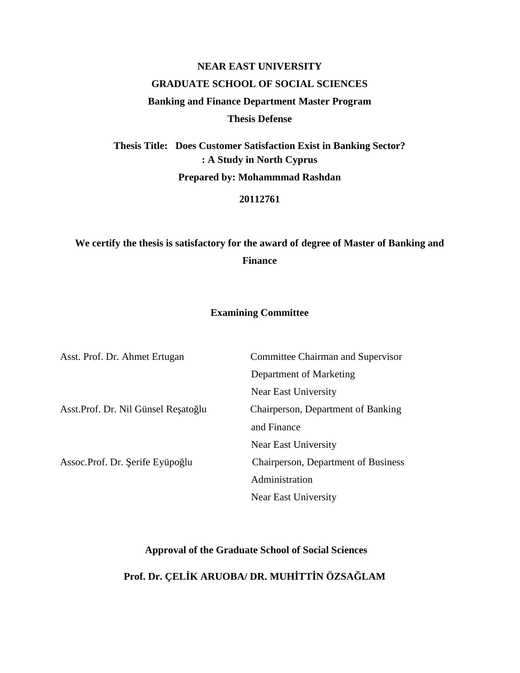# **NEAR EAST UNIVERSITY GRADUATE SCHOOL OF SOCIAL SCIENCES Banking and Finance Department Master Program Thesis Defense**

**Thesis Title: Does Customer Satisfaction Exist in Banking Sector? : A Study in North Cyprus Prepared by: Mohammmad Rashdan**

**20112761**

## **We certify the thesis is satisfactory for the award of degree of Master of Banking and Finance**

#### **Examining Committee**

| Asst. Prof. Dr. Ahmet Ertugan        | Committee Chairman and Supervisor   |
|--------------------------------------|-------------------------------------|
|                                      | Department of Marketing             |
|                                      | Near East University                |
| Asst. Prof. Dr. Nil Günsel Re ato lu | Chairperson, Department of Banking  |
|                                      | and Finance                         |
|                                      | Near East University                |
| Assoc. Prof. Dr. erife Eyüpo lu      | Chairperson, Department of Business |
|                                      | Administration                      |
|                                      | Near East University                |

#### **Approval of the Graduate School of Social Sciences**

### **Prof. Dr.** ÇEL **K ARUOBA/ DR.** MUH TT **N ÖZSA** LAM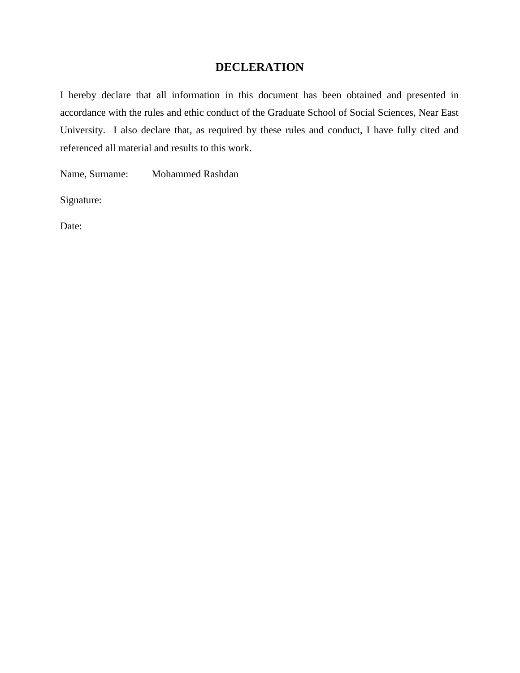### **DECLERATION**

I hereby declare that all information in this document has been obtained and presented in accordance with the rules and ethic conduct of the Graduate School of Social Sciences, Near East University. I also declare that, as required by these rules and conduct, I have fully cited and referenced all material and results to this work.

Name, Surname: Mohammed Rashdan

Signature:

Date: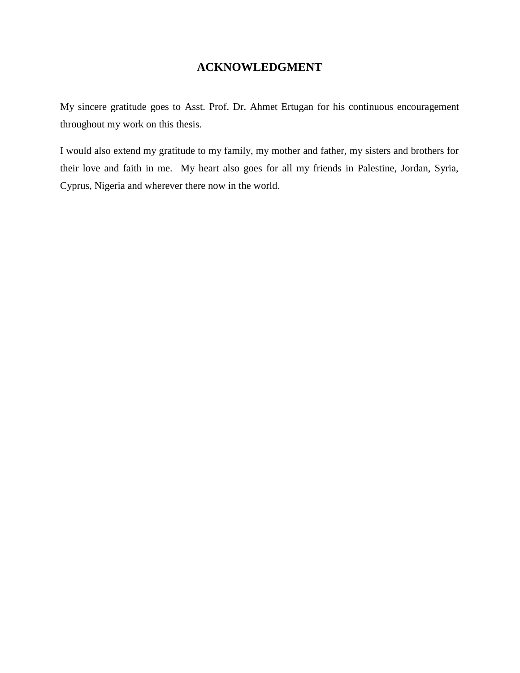## **ACKNOWLEDGMENT**

My sincere gratitude goes to Asst. Prof. Dr. Ahmet Ertugan for his continuous encouragement throughout my work on this thesis.

I would also extend my gratitude to my family, my mother and father, my sisters and brothers for their love and faith in me. My heart also goes for all my friends in Palestine, Jordan, Syria, Cyprus, Nigeria and wherever there now in the world.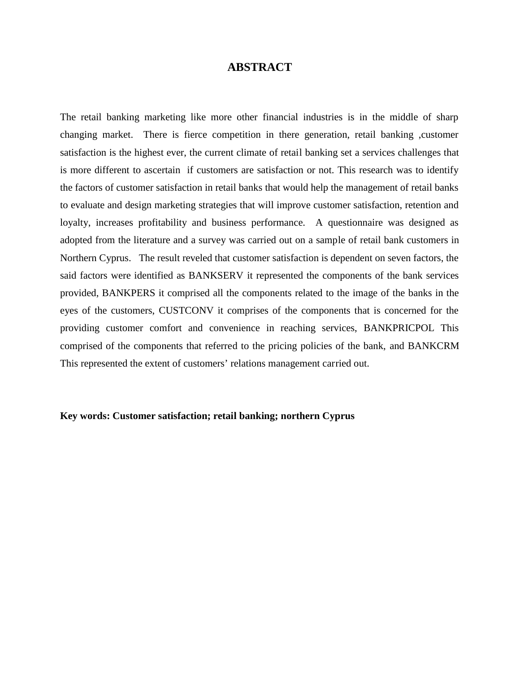### **ABSTRACT**

The retail banking marketing like more other financial industries is in the middle of sharp changing market. There is fierce competition in there generation, retail banking ,customer satisfaction is the highest ever, the current climate of retail banking set a services challenges that is more different to ascertain if customers are satisfaction or not. This research was to identify the factors of customer satisfaction in retail banks that would help the management of retail banks to evaluate and design marketing strategies that will improve customer satisfaction, retention and loyalty, increases profitability and business performance. A questionnaire was designed as adopted from the literature and a survey was carried out on a sample of retail bank customers in Northern Cyprus. The result reveled that customer satisfaction is dependent on seven factors, the said factors were identified as BANKSERV it represented the components of the bank services provided, BANKPERS it comprised all the components related to the image of the banks in the eyes of the customers, CUSTCONV it comprises of the components that is concerned for the providing customer comfort and convenience in reaching services, BANKPRICPOL This comprised of the components that referred to the pricing policies of the bank, and BANKCRM This represented the extent of customers' relations management carried out.

#### **Key words: Customer satisfaction; retail banking; northern Cyprus**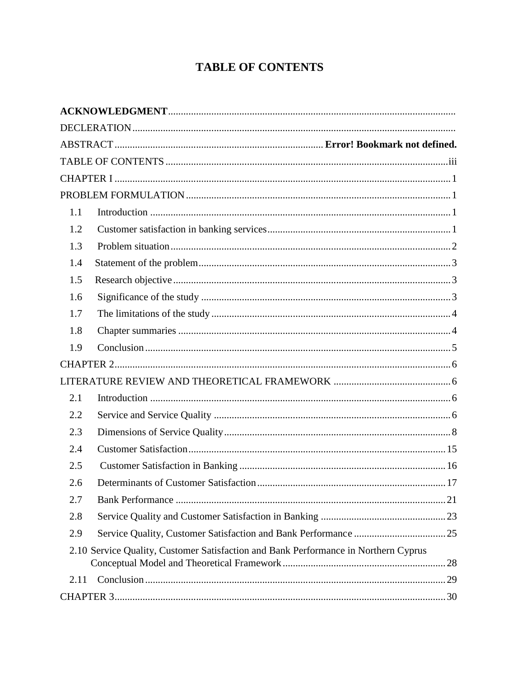# **TABLE OF CONTENTS**

| 1.1  |                                                                                     |  |
|------|-------------------------------------------------------------------------------------|--|
| 1.2  |                                                                                     |  |
| 1.3  |                                                                                     |  |
| 1.4  |                                                                                     |  |
| 1.5  |                                                                                     |  |
| 1.6  |                                                                                     |  |
| 1.7  |                                                                                     |  |
| 1.8  |                                                                                     |  |
| 1.9  |                                                                                     |  |
|      |                                                                                     |  |
|      |                                                                                     |  |
| 2.1  |                                                                                     |  |
| 2.2  |                                                                                     |  |
| 2.3  |                                                                                     |  |
| 2.4  |                                                                                     |  |
| 2.5  |                                                                                     |  |
| 2.6  |                                                                                     |  |
| 2.7  |                                                                                     |  |
| 2.8  |                                                                                     |  |
| 2.9  |                                                                                     |  |
|      | 2.10 Service Quality, Customer Satisfaction and Bank Performance in Northern Cyprus |  |
| 2.11 |                                                                                     |  |
|      |                                                                                     |  |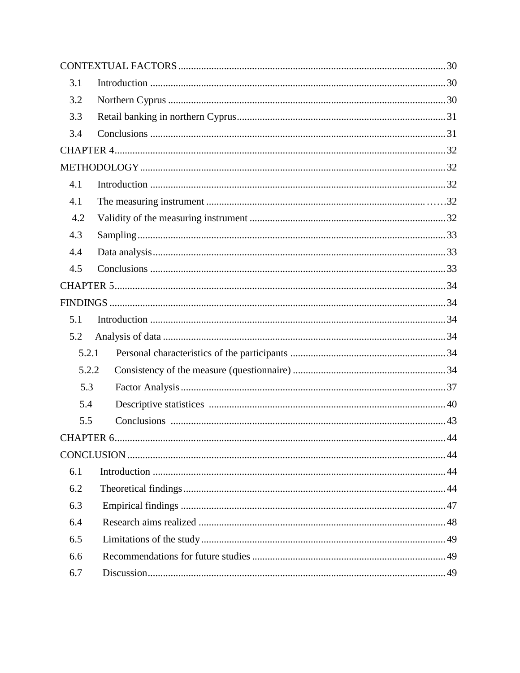| 3.1        |    |
|------------|----|
| 3.2        |    |
| 3.3        |    |
| 3.4        |    |
|            |    |
|            |    |
| 4.1        |    |
| 4.1        |    |
| 4.2        |    |
| 4.3        |    |
| 4.4        |    |
| 4.5        |    |
|            |    |
|            |    |
| 5.1        |    |
| 5.2        |    |
| 5.2.1      |    |
| 5.2.2      |    |
| 5.3        |    |
| 5.4        |    |
| 5.5        |    |
| CHAPTER 6. | 44 |
|            |    |
| 6.1        |    |
| 6.2        |    |
| 6.3        |    |
| 6.4        |    |
| 6.5        |    |
| 6.6        |    |
| 6.7        |    |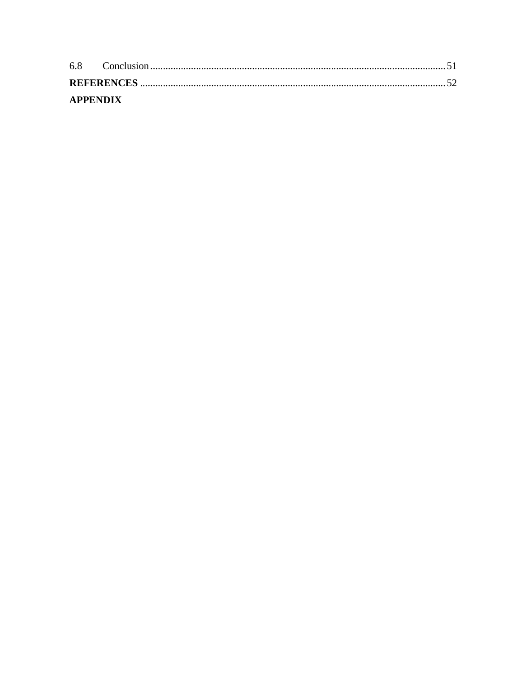| <b>APPENDIX</b> |  |
|-----------------|--|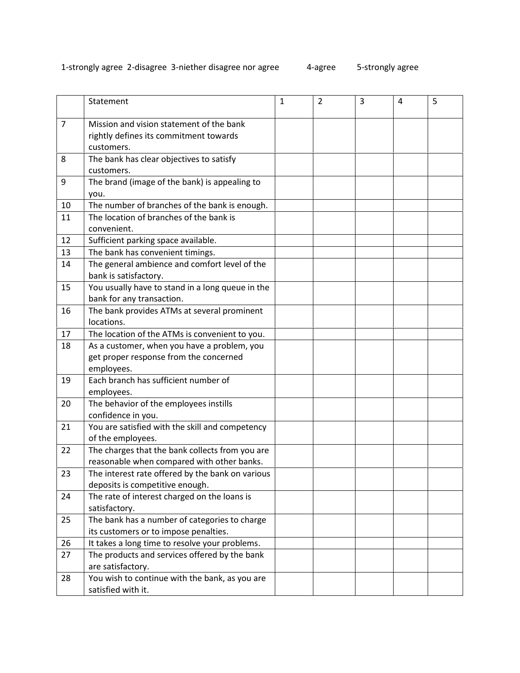### 1-strongly agree 2-disagree 3-niether disagree nor agree 4-agree 5-strongly agree

|                | Statement                                                     | $\mathbf{1}$ | $\overline{2}$ | 3 | 4 | 5 |
|----------------|---------------------------------------------------------------|--------------|----------------|---|---|---|
| $\overline{7}$ | Mission and vision statement of the bank                      |              |                |   |   |   |
|                | rightly defines its commitment towards                        |              |                |   |   |   |
|                | customers.                                                    |              |                |   |   |   |
| 8              | The bank has clear objectives to satisfy                      |              |                |   |   |   |
|                | customers.                                                    |              |                |   |   |   |
| 9              | The brand (image of the bank) is appealing to                 |              |                |   |   |   |
|                | you.                                                          |              |                |   |   |   |
| 10             | The number of branches of the bank is enough.                 |              |                |   |   |   |
| 11             | The location of branches of the bank is                       |              |                |   |   |   |
|                | convenient.                                                   |              |                |   |   |   |
| 12             | Sufficient parking space available.                           |              |                |   |   |   |
| 13             | The bank has convenient timings.                              |              |                |   |   |   |
| 14             | The general ambience and comfort level of the                 |              |                |   |   |   |
|                | bank is satisfactory.                                         |              |                |   |   |   |
| 15             | You usually have to stand in a long queue in the              |              |                |   |   |   |
|                | bank for any transaction.                                     |              |                |   |   |   |
| 16             | The bank provides ATMs at several prominent                   |              |                |   |   |   |
|                | locations.                                                    |              |                |   |   |   |
| 17             | The location of the ATMs is convenient to you.                |              |                |   |   |   |
| 18             | As a customer, when you have a problem, you                   |              |                |   |   |   |
|                | get proper response from the concerned                        |              |                |   |   |   |
|                | employees.                                                    |              |                |   |   |   |
| 19             | Each branch has sufficient number of                          |              |                |   |   |   |
|                | employees.                                                    |              |                |   |   |   |
| 20             | The behavior of the employees instills                        |              |                |   |   |   |
|                | confidence in you.                                            |              |                |   |   |   |
| 21             | You are satisfied with the skill and competency               |              |                |   |   |   |
|                | of the employees.                                             |              |                |   |   |   |
| 22             | The charges that the bank collects from you are               |              |                |   |   |   |
|                | reasonable when compared with other banks.                    |              |                |   |   |   |
| 23             | The interest rate offered by the bank on various              |              |                |   |   |   |
|                | deposits is competitive enough.                               |              |                |   |   |   |
| 24             | The rate of interest charged on the loans is<br>satisfactory. |              |                |   |   |   |
|                | The bank has a number of categories to charge                 |              |                |   |   |   |
| 25             | its customers or to impose penalties.                         |              |                |   |   |   |
| 26             | It takes a long time to resolve your problems.                |              |                |   |   |   |
| 27             | The products and services offered by the bank                 |              |                |   |   |   |
|                | are satisfactory.                                             |              |                |   |   |   |
| 28             | You wish to continue with the bank, as you are                |              |                |   |   |   |
|                | satisfied with it.                                            |              |                |   |   |   |
|                |                                                               |              |                |   |   |   |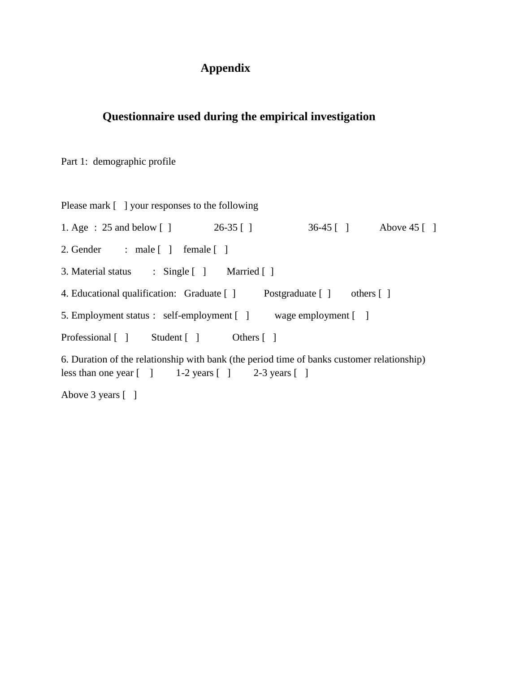### **Appendix**

### **Questionnaire used during the empirical investigation**

Part 1: demographic profile

Please mark [ ] your responses to the following 1. Age : 25 and below [ ] 26-35 [ ] 36-45 [ ] Above 45 [ ] 2. Gender : male [ ] female [ ] 3. Material status : Single [ ] Married [ ] 4. Educational qualification: Graduate [ ] Postgraduate [ ] others [ ] 5. Employment status : self-employment [ ] wage employment [ ] Professional [ ] Student [ ] Others [ ] 6. Duration of the relationship with bank (the period time of banks customer relationship) less than one year  $\begin{bmatrix} 1 & 1 & -2 \end{bmatrix}$  years  $\begin{bmatrix} 1 & 2 & -3 \end{bmatrix}$  years  $\begin{bmatrix} 1 & 1 \end{bmatrix}$ 

Above 3 years [ ]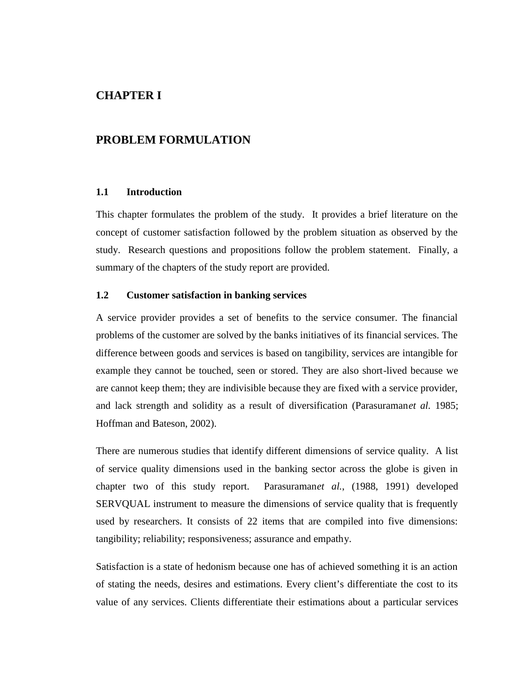### **CHAPTER I**

#### **PROBLEM FORMULATION**

#### **1.1 Introduction**

This chapter formulates the problem of the study. It provides a brief literature on the concept of customer satisfaction followed by the problem situation as observed by the study. Research questions and propositions follow the problem statement. Finally, a summary of the chapters of the study report are provided.

#### **1.2 Customer satisfaction in banking services**

A service provider provides a set of benefits to the service consumer. The financial problems of the customer are solved by the banks initiatives of its financial services. The difference between goods and services is based on tangibility, services are intangible for example they cannot be touched, seen or stored. They are also short-lived because we are cannot keep them; they are indivisible because they are fixed with a service provider, and lack strength and solidity as a result of diversification (Parasuraman*et al.* 1985; Hoffman and Bateson, 2002).

There are numerous studies that identify different dimensions of service quality. A list of service quality dimensions used in the banking sector across the globe is given in chapter two of this study report. Parasuraman*et al.*, (1988, 1991) developed SERVQUAL instrument to measure the dimensions of service quality that is frequently used by researchers. It consists of 22 items that are compiled into five dimensions: tangibility; reliability; responsiveness; assurance and empathy.

Satisfaction is a state of hedonism because one has of achieved something it is an action of stating the needs, desires and estimations. Every client's differentiate the cost to its value of any services. Clients differentiate their estimations about a particular services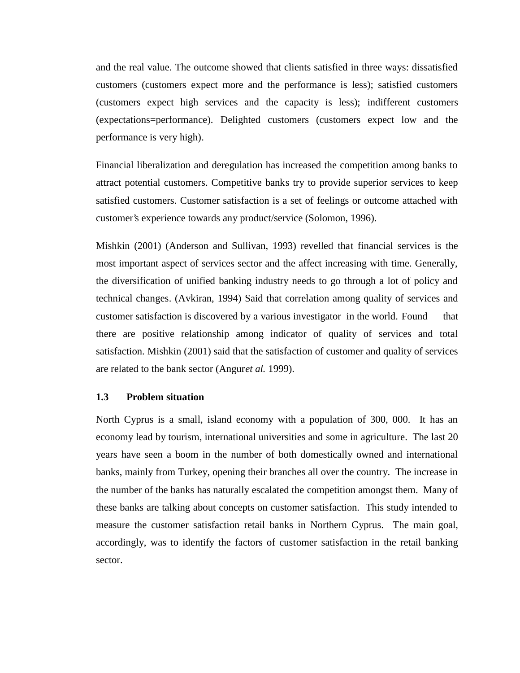and the real value. The outcome showed that clients satisfied in three ways: dissatisfied customers (customers expect more and the performance is less); satisfied customers (customers expect high services and the capacity is less); indifferent customers (expectations=performance). Delighted customers (customers expect low and the performance is very high).

Financial liberalization and deregulation has increased the competition among banks to attract potential customers. Competitive banks try to provide superior services to keep satisfied customers. Customer satisfaction is a set of feelings or outcome attached with customer's experience towards any product/service (Solomon, 1996).

Mishkin (2001) (Anderson and Sullivan, 1993) revelled that financial services is the most important aspect of services sector and the affect increasing with time. Generally, the diversification of unified banking industry needs to go through a lot of policy and technical changes. (Avkiran, 1994) Said that correlation among quality of services and customer satisfaction is discovered by a various investigator in the world. Found that there are positive relationship among indicator of quality of services and total satisfaction. Mishkin (2001) said that the satisfaction of customer and quality of services are related to the bank sector (Angur*et al.* 1999).

#### **1.3 Problem situation**

North Cyprus is a small, island economy with a population of 300, 000. It has an economy lead by tourism, international universities and some in agriculture. The last 20 years have seen a boom in the number of both domestically owned and international banks, mainly from Turkey, opening their branches all over the country. The increase in the number of the banks has naturally escalated the competition amongst them. Many of these banks are talking about concepts on customer satisfaction. This study intended to measure the customer satisfaction retail banks in Northern Cyprus. The main goal, accordingly, was to identify the factors of customer satisfaction in the retail banking sector.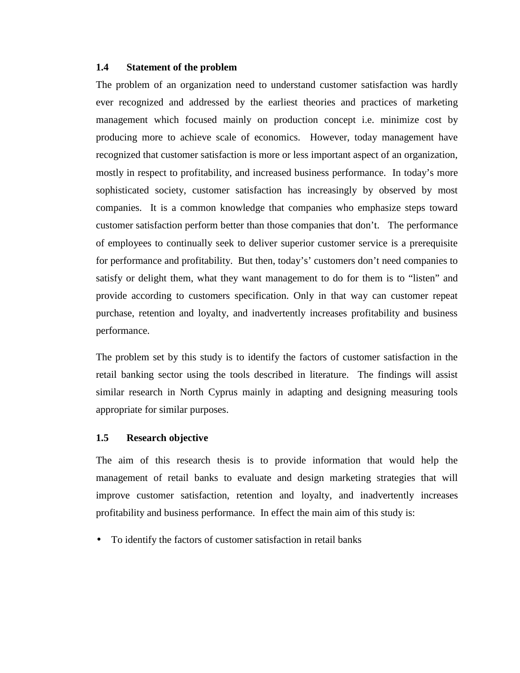#### **1.4 Statement of the problem**

The problem of an organization need to understand customer satisfaction was hardly ever recognized and addressed by the earliest theories and practices of marketing management which focused mainly on production concept i.e. minimize cost by producing more to achieve scale of economics. However, today management have recognized that customer satisfaction is more or less important aspect of an organization, mostly in respect to profitability, and increased business performance. In today's more sophisticated society, customer satisfaction has increasingly by observed by most companies. It is a common knowledge that companies who emphasize steps toward customer satisfaction perform better than those companies that don't. The performance of employees to continually seek to deliver superior customer service is a prerequisite for performance and profitability. But then, today's' customers don't need companies to satisfy or delight them, what they want management to do for them is to "listen" and provide according to customers specification. Only in that way can customer repeat purchase, retention and loyalty, and inadvertently increases profitability and business performance.

The problem set by this study is to identify the factors of customer satisfaction in the retail banking sector using the tools described in literature. The findings will assist similar research in North Cyprus mainly in adapting and designing measuring tools appropriate for similar purposes.

#### **1.5 Research objective**

The aim of this research thesis is to provide information that would help the management of retail banks to evaluate and design marketing strategies that will improve customer satisfaction, retention and loyalty, and inadvertently increases profitability and business performance. In effect the main aim of this study is:

To identify the factors of customer satisfaction in retail banks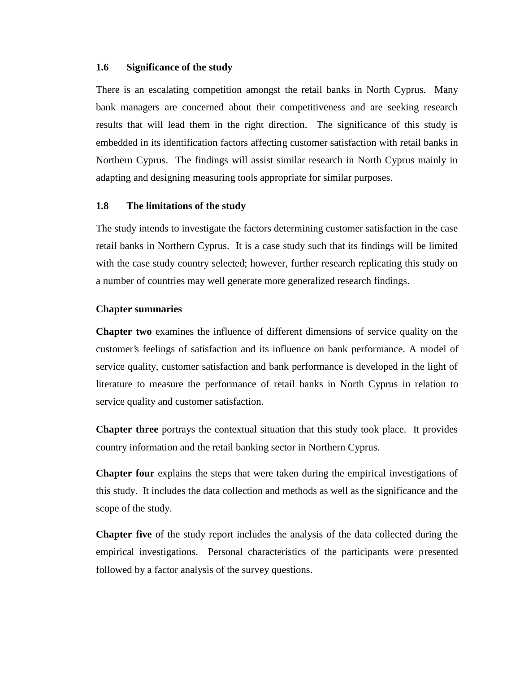#### **1.6 Significance of the study**

There is an escalating competition amongst the retail banks in North Cyprus. Many bank managers are concerned about their competitiveness and are seeking research results that will lead them in the right direction. The significance of this study is embedded in its identification factors affecting customer satisfaction with retail banks in Northern Cyprus. The findings will assist similar research in North Cyprus mainly in adapting and designing measuring tools appropriate for similar purposes.

#### **1.8 The limitations of the study**

The study intends to investigate the factors determining customer satisfaction in the case retail banks in Northern Cyprus. It is a case study such that its findings will be limited with the case study country selected; however, further research replicating this study on a number of countries may well generate more generalized research findings.

#### **Chapter summaries**

**Chapter two** examines the influence of different dimensions of service quality on the customer's feelings of satisfaction and its influence on bank performance. A model of service quality, customer satisfaction and bank performance is developed in the light of literature to measure the performance of retail banks in North Cyprus in relation to service quality and customer satisfaction.

**Chapter three** portrays the contextual situation that this study took place. It provides country information and the retail banking sector in Northern Cyprus.

**Chapter four** explains the steps that were taken during the empirical investigations of this study. It includes the data collection and methods as well as the significance and the scope of the study.

**Chapter five** of the study report includes the analysis of the data collected during the empirical investigations. Personal characteristics of the participants were presented followed by a factor analysis of the survey questions.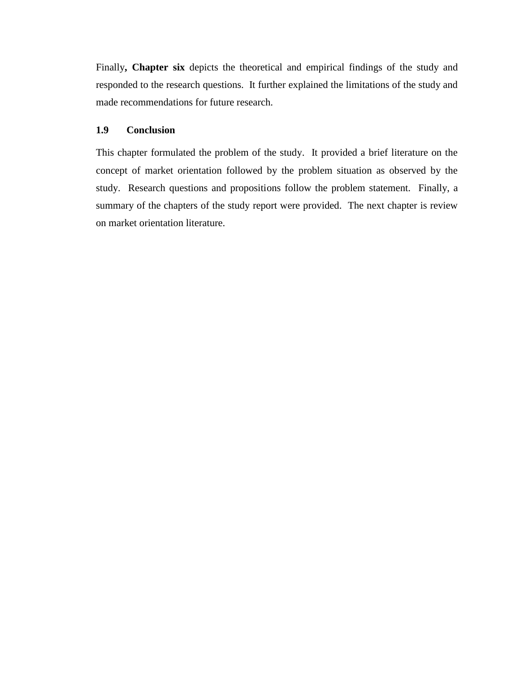Finally**, Chapter six** depicts the theoretical and empirical findings of the study and responded to the research questions. It further explained the limitations of the study and made recommendations for future research.

#### **1.9 Conclusion**

This chapter formulated the problem of the study. It provided a brief literature on the concept of market orientation followed by the problem situation as observed by the study. Research questions and propositions follow the problem statement. Finally, a summary of the chapters of the study report were provided. The next chapter is review on market orientation literature.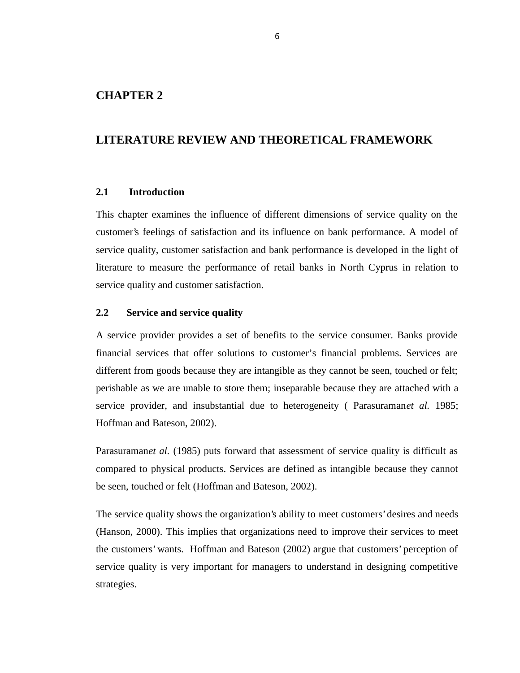#### **CHAPTER 2**

### **LITERATURE REVIEW AND THEORETICAL FRAMEWORK**

#### **2.1 Introduction**

This chapter examines the influence of different dimensions of service quality on the customer's feelings of satisfaction and its influence on bank performance. A model of service quality, customer satisfaction and bank performance is developed in the light of literature to measure the performance of retail banks in North Cyprus in relation to service quality and customer satisfaction.

#### **2.2 Service and service quality**

A service provider provides a set of benefits to the service consumer. Banks provide financial services that offer solutions to customer's financial problems. Services are different from goods because they are intangible as they cannot be seen, touched or felt; perishable as we are unable to store them; inseparable because they are attached with a service provider, and insubstantial due to heterogeneity ( Parasuraman*et al.* 1985; Hoffman and Bateson, 2002).

Parasuraman*et al.* (1985) puts forward that assessment of service quality is difficult as compared to physical products. Services are defined as intangible because they cannot be seen, touched or felt (Hoffman and Bateson, 2002).

The service quality shows the organization's ability to meet customers' desires and needs (Hanson, 2000). This implies that organizations need to improve their services to meet the customers' wants. Hoffman and Bateson (2002) argue that customers' perception of service quality is very important for managers to understand in designing competitive strategies.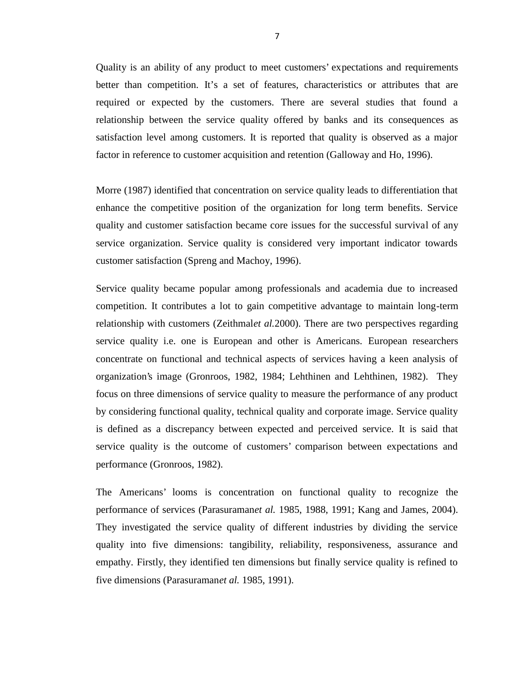Quality is an ability of any product to meet customers' expectations and requirements better than competition. It's a set of features, characteristics or attributes that are required or expected by the customers. There are several studies that found a relationship between the service quality offered by banks and its consequences as satisfaction level among customers. It is reported that quality is observed as a major factor in reference to customer acquisition and retention (Galloway and Ho, 1996).

Morre (1987) identified that concentration on service quality leads to differentiation that enhance the competitive position of the organization for long term benefits. Service quality and customer satisfaction became core issues for the successful survival of any service organization. Service quality is considered very important indicator towards customer satisfaction (Spreng and Machoy, 1996).

Service quality became popular among professionals and academia due to increased competition. It contributes a lot to gain competitive advantage to maintain long-term relationship with customers (Zeithmal*et al.*2000). There are two perspectives regarding service quality i.e. one is European and other is Americans. European researchers concentrate on functional and technical aspects of services having a keen analysis of organization's image (Gronroos, 1982, 1984; Lehthinen and Lehthinen, 1982). They focus on three dimensions of service quality to measure the performance of any product by considering functional quality, technical quality and corporate image. Service quality is defined as a discrepancy between expected and perceived service. It is said that service quality is the outcome of customers' comparison between expectations and performance (Gronroos, 1982).

The Americans' looms is concentration on functional quality to recognize the performance of services (Parasuraman*et al.* 1985, 1988, 1991; Kang and James, 2004). They investigated the service quality of different industries by dividing the service quality into five dimensions: tangibility, reliability, responsiveness, assurance and empathy. Firstly, they identified ten dimensions but finally service quality is refined to five dimensions (Parasuraman*et al.* 1985, 1991).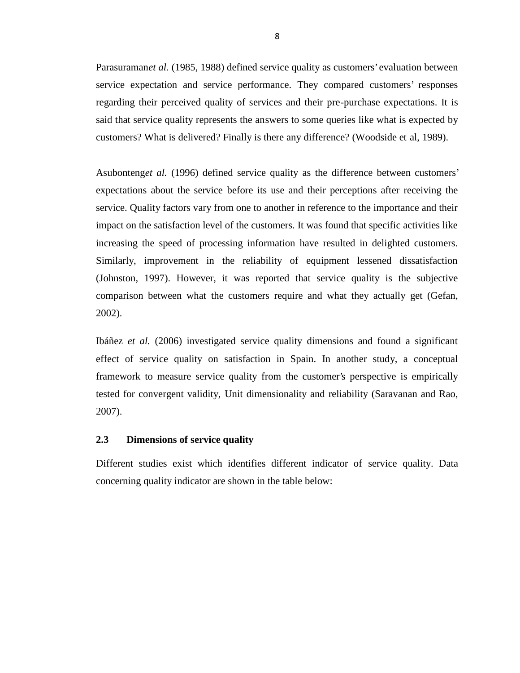Parasuraman*et al.* (1985, 1988) defined service quality as customers' evaluation between service expectation and service performance. They compared customers' responses regarding their perceived quality of services and their pre-purchase expectations. It is said that service quality represents the answers to some queries like what is expected by customers? What is delivered? Finally is there any difference? (Woodside et al, 1989).

Asubonteng*et al.* (1996) defined service quality as the difference between customers' expectations about the service before its use and their perceptions after receiving the service. Quality factors vary from one to another in reference to the importance and their impact on the satisfaction level of the customers. It was found that specific activities like increasing the speed of processing information have resulted in delighted customers. Similarly, improvement in the reliability of equipment lessened dissatisfaction (Johnston, 1997). However, it was reported that service quality is the subjective comparison between what the customers require and what they actually get (Gefan, 2002).

Ibáñez *et al.* (2006) investigated service quality dimensions and found a significant effect of service quality on satisfaction in Spain. In another study, a conceptual framework to measure service quality from the customer's perspective is empirically tested for convergent validity, Unit dimensionality and reliability (Saravanan and Rao, 2007).

#### **2.3 Dimensions of service quality**

Different studies exist which identifies different indicator of service quality. Data concerning quality indicator are shown in the table below: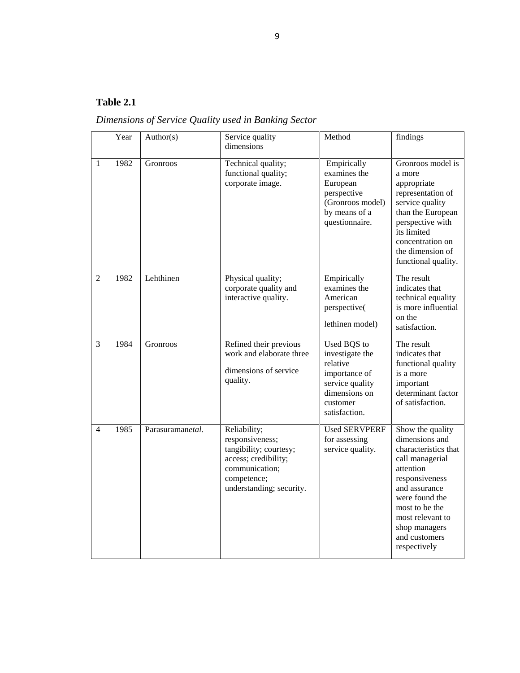### **Table 2.1**

*Dimensions of Service Quality used in Banking Sector*

|                | Year | Author(s)        | Service quality<br>dimensions                                                                                                                  | Method                                                                                                                       | findings                                                                                                                                                                                                                                |
|----------------|------|------------------|------------------------------------------------------------------------------------------------------------------------------------------------|------------------------------------------------------------------------------------------------------------------------------|-----------------------------------------------------------------------------------------------------------------------------------------------------------------------------------------------------------------------------------------|
| $\mathbf{1}$   | 1982 | Gronroos         | Technical quality;<br>functional quality;<br>corporate image.                                                                                  | Empirically<br>examines the<br>European<br>perspective<br>(Gronroos model)<br>by means of a<br>questionnaire.                | Gronroos model is<br>a more<br>appropriate<br>representation of<br>service quality<br>than the European<br>perspective with<br>its limited<br>concentration on<br>the dimension of<br>functional quality.                               |
| $\overline{2}$ | 1982 | Lehthinen        | Physical quality;<br>corporate quality and<br>interactive quality.                                                                             | Empirically<br>examines the<br>American<br>perspective(<br>lethinen model)                                                   | The result<br>indicates that<br>technical equality<br>is more influential<br>on the<br>satisfaction.                                                                                                                                    |
| 3              | 1984 | <b>Gronroos</b>  | Refined their previous<br>work and elaborate three<br>dimensions of service<br>quality.                                                        | Used BQS to<br>investigate the<br>relative<br>importance of<br>service quality<br>dimensions on<br>customer<br>satisfaction. | The result<br>indicates that<br>functional quality<br>is a more<br>important<br>determinant factor<br>of satisfaction.                                                                                                                  |
| $\overline{4}$ | 1985 | Parasuramanetal. | Reliability;<br>responsiveness;<br>tangibility; courtesy;<br>access; credibility;<br>communication;<br>competence;<br>understanding; security. | <b>Used SERVPERF</b><br>for assessing<br>service quality.                                                                    | Show the quality<br>dimensions and<br>characteristics that<br>call managerial<br>attention<br>responsiveness<br>and assurance<br>were found the<br>most to be the<br>most relevant to<br>shop managers<br>and customers<br>respectively |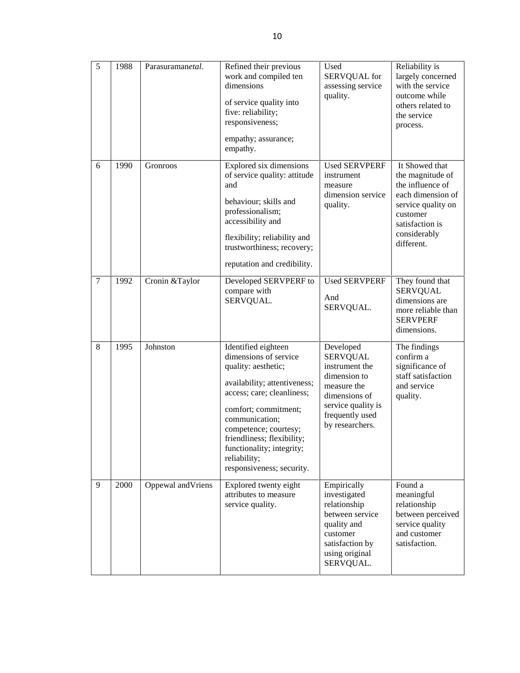| 5              | 1988 | Parasuramanetal.   | Refined their previous<br>work and compiled ten<br>dimensions<br>of service quality into<br>five: reliability;<br>responsiveness;<br>empathy; assurance;<br>empathy.                                                                                                                                         | Used<br>SERVQUAL for<br>assessing service<br>quality.                                                                                                      | Reliability is<br>largely concerned<br>with the service<br>outcome while<br>others related to<br>the service<br>process.                                       |
|----------------|------|--------------------|--------------------------------------------------------------------------------------------------------------------------------------------------------------------------------------------------------------------------------------------------------------------------------------------------------------|------------------------------------------------------------------------------------------------------------------------------------------------------------|----------------------------------------------------------------------------------------------------------------------------------------------------------------|
| 6              | 1990 | Gronroos           | Explored six dimensions<br>of service quality: attitude<br>and<br>behaviour; skills and<br>professionalism;<br>accessibility and<br>flexibility; reliability and<br>trustworthiness; recovery;<br>reputation and credibility.                                                                                | <b>Used SERVPERF</b><br>instrument<br>measure<br>dimension service<br>quality.                                                                             | It Showed that<br>the magnitude of<br>the influence of<br>each dimension of<br>service quality on<br>customer<br>satisfaction is<br>considerably<br>different. |
| $\overline{7}$ | 1992 | Cronin &Taylor     | Developed SERVPERF to<br>compare with<br>SERVQUAL.                                                                                                                                                                                                                                                           | <b>Used SERVPERF</b><br>And<br>SERVQUAL.                                                                                                                   | They found that<br><b>SERVQUAL</b><br>dimensions are<br>more reliable than<br><b>SERVPERF</b><br>dimensions.                                                   |
| 8              | 1995 | Johnston           | Identified eighteen<br>dimensions of service<br>quality: aesthetic;<br>availability; attentiveness;<br>access; care; cleanliness;<br>comfort; commitment;<br>communication;<br>competence; courtesy;<br>friendliness; flexibility;<br>functionality; integrity;<br>reliability;<br>responsiveness; security. | Developed<br><b>SERVQUAL</b><br>instrument the<br>dimension to<br>measure the<br>dimensions of<br>service quality is<br>frequently used<br>by researchers. | The findings<br>confirm a<br>significance of<br>staff satisfaction<br>and service<br>quality.                                                                  |
| 9              | 2000 | Oppewal and Vriens | Explored twenty eight<br>attributes to measure<br>service quality.                                                                                                                                                                                                                                           | Empirically<br>investigated<br>relationship<br>between service<br>quality and<br>customer<br>satisfaction by<br>using original<br>SERVQUAL.                | Found a<br>meaningful<br>relationship<br>between perceived<br>service quality<br>and customer<br>satisfaction.                                                 |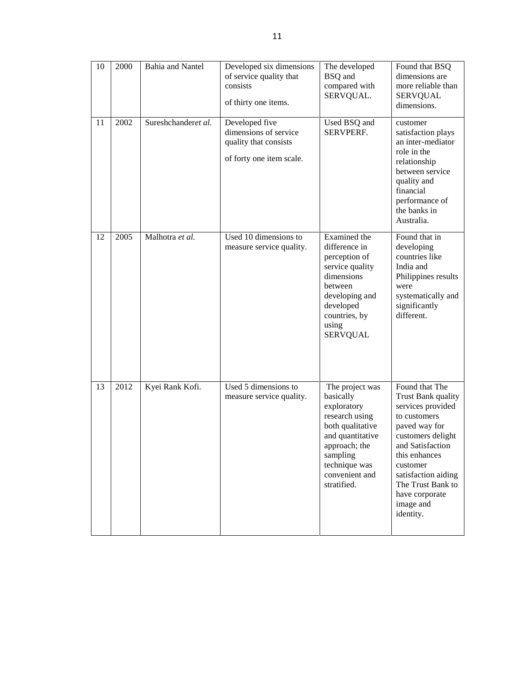| 10 | 2000 | <b>Bahia</b> and Nantel | Developed six dimensions<br>of service quality that<br>consists<br>of thirty one items.      | The developed<br><b>BSQ</b> and<br>compared with<br>SERVQUAL.                                                                                                                        | Found that BSQ<br>dimensions are<br>more reliable than<br><b>SERVQUAL</b><br>dimensions.                                                                                                                                                                 |
|----|------|-------------------------|----------------------------------------------------------------------------------------------|--------------------------------------------------------------------------------------------------------------------------------------------------------------------------------------|----------------------------------------------------------------------------------------------------------------------------------------------------------------------------------------------------------------------------------------------------------|
| 11 | 2002 | Sureshchanderet al.     | Developed five<br>dimensions of service<br>quality that consists<br>of forty one item scale. | Used BSQ and<br>SERVPERF.                                                                                                                                                            | customer<br>satisfaction plays<br>an inter-mediator<br>role in the<br>relationship<br>between service<br>quality and<br>financial<br>performance of<br>the banks in<br>Australia.                                                                        |
| 12 | 2005 | Malhotra et al.         | Used 10 dimensions to<br>measure service quality.                                            | Examined the<br>difference in<br>perception of<br>service quality<br>dimensions<br>between<br>developing and<br>developed<br>countries, by<br>using<br><b>SERVQUAL</b>               | Found that in<br>developing<br>countries like<br>India and<br>Philippines results<br>were<br>systematically and<br>significantly<br>different.                                                                                                           |
| 13 | 2012 | Kyei Rank Kofi.         | Used 5 dimensions to<br>measure service quality.                                             | The project was<br>basically<br>exploratory<br>research using<br>both qualitative<br>and quantitative<br>approach; the<br>sampling<br>technique was<br>convenient and<br>stratified. | Found that The<br>Trust Bank quality<br>services provided<br>to customers<br>paved way for<br>customers delight<br>and Satisfaction<br>this enhances<br>customer<br>satisfaction aiding<br>The Trust Bank to<br>have corporate<br>image and<br>identity. |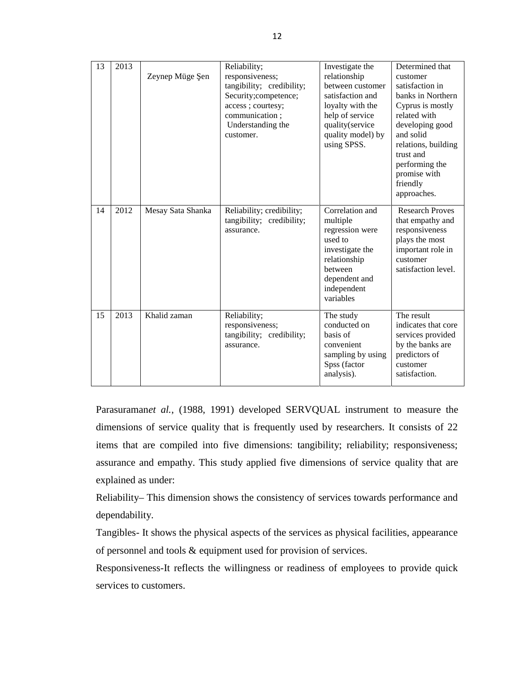| 13 | 2013 | Zeynep Müge<br>en | Reliability;<br>responsiveness;<br>tangibility; credibility;<br>Security;competence;<br>access; courtesy;<br>communication;<br>Understanding the<br>customer. | Investigate the<br>relationship<br>between customer<br>satisfaction and<br>loyalty with the<br>help of service<br>quality(service<br>quality model) by<br>using SPSS. | Determined that<br>customer<br>satisfaction in<br>banks in Northern<br>Cyprus is mostly<br>related with<br>developing good<br>and solid<br>relations, building<br>trust and<br>performing the<br>promise with<br>friendly<br>approaches. |
|----|------|-------------------|---------------------------------------------------------------------------------------------------------------------------------------------------------------|-----------------------------------------------------------------------------------------------------------------------------------------------------------------------|------------------------------------------------------------------------------------------------------------------------------------------------------------------------------------------------------------------------------------------|
| 14 | 2012 | Mesay Sata Shanka | Reliability; credibility;<br>tangibility; credibility;<br>assurance.                                                                                          | Correlation and<br>multiple<br>regression were<br>used to<br>investigate the<br>relationship<br>between<br>dependent and<br>independent<br>variables                  | <b>Research Proves</b><br>that empathy and<br>responsiveness<br>plays the most<br>important role in<br>customer<br>satisfaction level.                                                                                                   |
| 15 | 2013 | Khalid zaman      | Reliability;<br>responsiveness;<br>tangibility; credibility;<br>assurance.                                                                                    | The study<br>conducted on<br>basis of<br>convenient<br>sampling by using<br>Spss (factor<br>analysis).                                                                | The result<br>indicates that core<br>services provided<br>by the banks are<br>predictors of<br>customer<br>satisfaction.                                                                                                                 |

Parasuraman*et al.*, (1988, 1991) developed SERVQUAL instrument to measure the dimensions of service quality that is frequently used by researchers. It consists of 22 items that are compiled into five dimensions: tangibility; reliability; responsiveness; assurance and empathy. This study applied five dimensions of service quality that are explained as under:

Reliability– This dimension shows the consistency of services towards performance and dependability.

Tangibles- It shows the physical aspects of the services as physical facilities, appearance of personnel and tools & equipment used for provision of services.

Responsiveness-It reflects the willingness or readiness of employees to provide quick services to customers.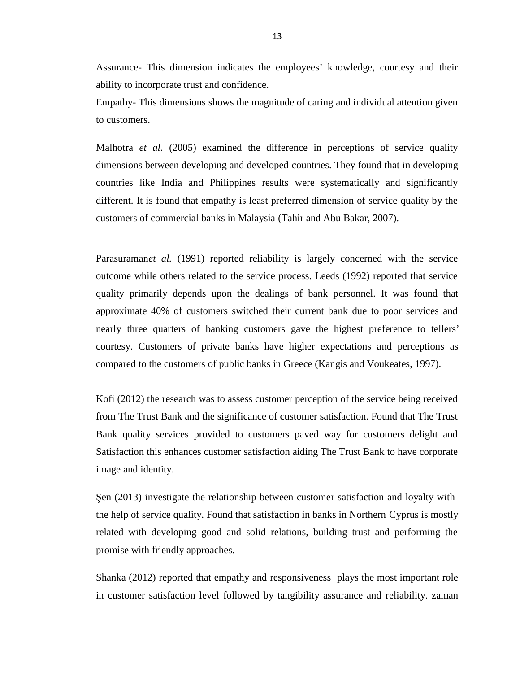Assurance- This dimension indicates the employees' knowledge, courtesy and their ability to incorporate trust and confidence.

Empathy- This dimensions shows the magnitude of caring and individual attention given to customers.

Malhotra *et al.* (2005) examined the difference in perceptions of service quality dimensions between developing and developed countries. They found that in developing countries like India and Philippines results were systematically and significantly different. It is found that empathy is least preferred dimension of service quality by the customers of commercial banks in Malaysia (Tahir and Abu Bakar, 2007).

Parasuramanet al. (1991) reported reliability is largely concerned with the service outcome while others related to the service process. Leeds (1992) reported that service quality primarily depends upon the dealings of bank personnel. It was found that approximate 40% of customers switched their current bank due to poor services and nearly three quarters of banking customers gave the highest preference to tellers' courtesy. Customers of private banks have higher expectations and perceptions as compared to the customers of public banks in Greece (Kangis and Voukeates, 1997).

Kofi (2012) the research was to assess customer perception of the service being received from The Trust Bank and the significance of customer satisfaction. Found that The Trust Bank quality services provided to customers paved way for customers delight and Satisfaction this enhances customer satisfaction aiding The Trust Bank to have corporate image and identity.

 $\text{en}$  (2013) investigate the relationship between customer satisfaction and loyalty with the help of service quality. Found that satisfaction in banks in Northern Cyprus is mostly related with developing good and solid relations, building trust and performing the promise with friendly approaches.

Shanka (2012) reported that empathy and responsiveness plays the most important role in customer satisfaction level followed by tangibility assurance and reliability. zaman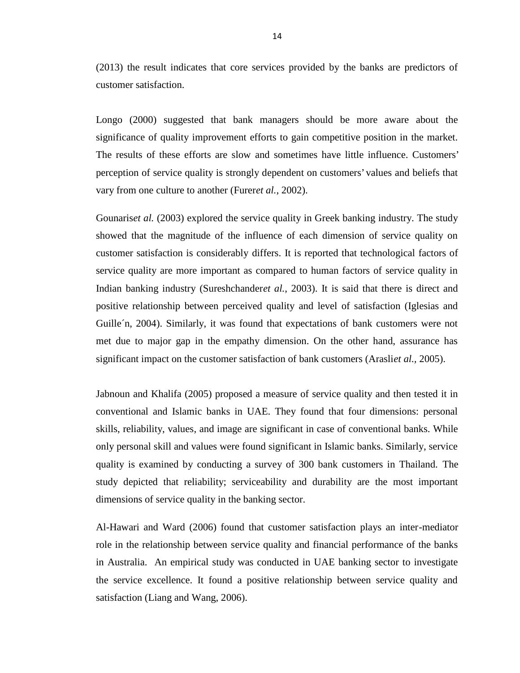(2013) the result indicates that core services provided by the banks are predictors of customer satisfaction.

Longo (2000) suggested that bank managers should be more aware about the significance of quality improvement efforts to gain competitive position in the market. The results of these efforts are slow and sometimes have little influence. Customers' perception of service quality is strongly dependent on customers' values and beliefs that vary from one culture to another (Furer*et al.*, 2002).

Gounaris*et al.* (2003) explored the service quality in Greek banking industry. The study showed that the magnitude of the influence of each dimension of service quality on customer satisfaction is considerably differs. It is reported that technological factors of service quality are more important as compared to human factors of service quality in Indian banking industry (Sureshchander*et al.*, 2003). It is said that there is direct and positive relationship between perceived quality and level of satisfaction (Iglesias and Guille´n, 2004). Similarly, it was found that expectations of bank customers were not met due to major gap in the empathy dimension. On the other hand, assurance has significant impact on the customer satisfaction of bank customers (Arasli*et al.,* 2005).

Jabnoun and Khalifa (2005) proposed a measure of service quality and then tested it in conventional and Islamic banks in UAE. They found that four dimensions: personal skills, reliability, values, and image are significant in case of conventional banks. While only personal skill and values were found significant in Islamic banks. Similarly, service quality is examined by conducting a survey of 300 bank customers in Thailand. The study depicted that reliability; serviceability and durability are the most important dimensions of service quality in the banking sector.

Al-Hawari and Ward (2006) found that customer satisfaction plays an inter-mediator role in the relationship between service quality and financial performance of the banks in Australia. An empirical study was conducted in UAE banking sector to investigate the service excellence. It found a positive relationship between service quality and satisfaction (Liang and Wang, 2006).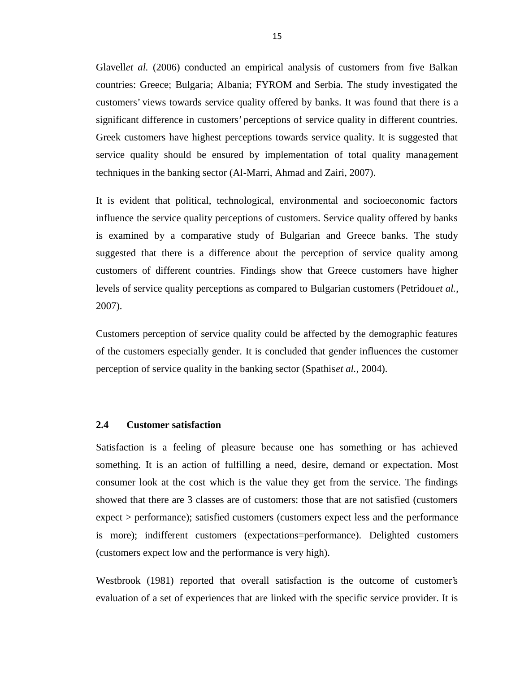Glavell*et al.* (2006) conducted an empirical analysis of customers from five Balkan countries: Greece; Bulgaria; Albania; FYROM and Serbia. The study investigated the customers' views towards service quality offered by banks. It was found that there is a significant difference in customers' perceptions of service quality in different countries. Greek customers have highest perceptions towards service quality. It is suggested that service quality should be ensured by implementation of total quality management techniques in the banking sector (Al-Marri, Ahmad and Zairi, 2007).

It is evident that political, technological, environmental and socioeconomic factors influence the service quality perceptions of customers. Service quality offered by banks is examined by a comparative study of Bulgarian and Greece banks. The study suggested that there is a difference about the perception of service quality among customers of different countries. Findings show that Greece customers have higher levels of service quality perceptions as compared to Bulgarian customers (Petridou*et al.*, 2007).

Customers perception of service quality could be affected by the demographic features of the customers especially gender. It is concluded that gender influences the customer perception of service quality in the banking sector (Spathis*et al.*, 2004).

#### **2.4 Customer satisfaction**

Satisfaction is a feeling of pleasure because one has something or has achieved something. It is an action of fulfilling a need, desire, demand or expectation. Most consumer look at the cost which is the value they get from the service. The findings showed that there are 3 classes are of customers: those that are not satisfied (customers expect > performance); satisfied customers (customers expect less and the performance is more); indifferent customers (expectations=performance). Delighted customers (customers expect low and the performance is very high).

Westbrook (1981) reported that overall satisfaction is the outcome of customer's evaluation of a set of experiences that are linked with the specific service provider. It is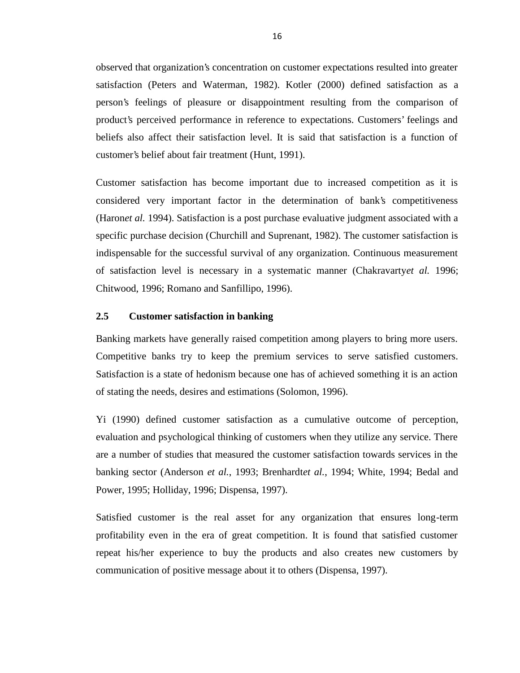observed that organization's concentration on customer expectations resulted into greater satisfaction (Peters and Waterman, 1982). Kotler (2000) defined satisfaction as a person's feelings of pleasure or disappointment resulting from the comparison of product's perceived performance in reference to expectations. Customers' feelings and beliefs also affect their satisfaction level. It is said that satisfaction is a function of customer's belief about fair treatment (Hunt, 1991).

Customer satisfaction has become important due to increased competition as it is considered very important factor in the determination of bank's competitiveness (Haron*et al.* 1994). Satisfaction is a post purchase evaluative judgment associated with a specific purchase decision (Churchill and Suprenant, 1982). The customer satisfaction is indispensable for the successful survival of any organization. Continuous measurement of satisfaction level is necessary in a systematic manner (Chakravarty*et al.* 1996; Chitwood, 1996; Romano and Sanfillipo, 1996).

#### **2.5 Customer satisfaction in banking**

Banking markets have generally raised competition among players to bring more users. Competitive banks try to keep the premium services to serve satisfied customers. Satisfaction is a state of hedonism because one has of achieved something it is an action of stating the needs, desires and estimations (Solomon, 1996).

Yi (1990) defined customer satisfaction as a cumulative outcome of perception, evaluation and psychological thinking of customers when they utilize any service. There are a number of studies that measured the customer satisfaction towards services in the banking sector (Anderson *et al.*, 1993; Brenhardt*et al.*, 1994; White, 1994; Bedal and Power, 1995; Holliday, 1996; Dispensa, 1997).

Satisfied customer is the real asset for any organization that ensures long-term profitability even in the era of great competition. It is found that satisfied customer repeat his/her experience to buy the products and also creates new customers by communication of positive message about it to others (Dispensa, 1997).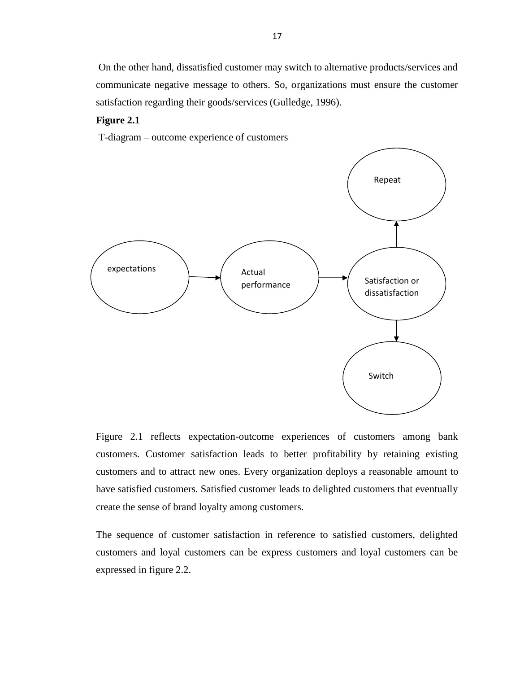On the other hand, dissatisfied customer may switch to alternative products/services and communicate negative message to others. So, organizations must ensure the customer satisfaction regarding their goods/services (Gulledge, 1996).

#### **Figure 2.1**

T-diagram – outcome experience of customers



Figure 2.1 reflects expectation-outcome experiences of customers among bank customers. Customer satisfaction leads to better profitability by retaining existing customers and to attract new ones. Every organization deploys a reasonable amount to have satisfied customers. Satisfied customer leads to delighted customers that eventually create the sense of brand loyalty among customers.

The sequence of customer satisfaction in reference to satisfied customers, delighted customers and loyal customers can be express customers and loyal customers can be expressed in figure 2.2.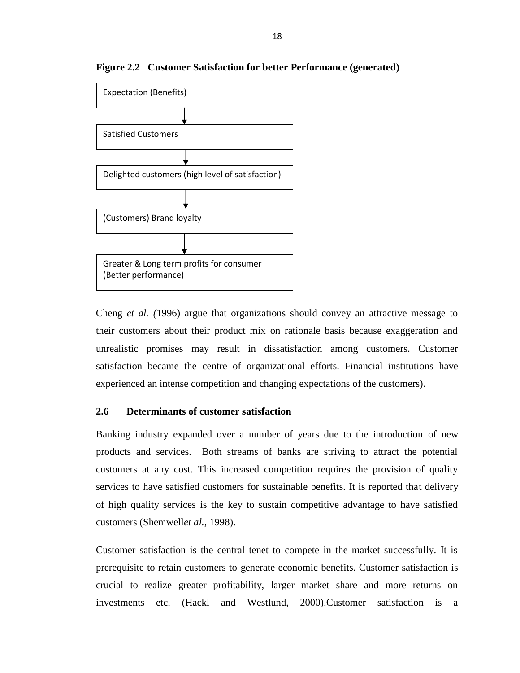

**Figure 2.2 Customer Satisfaction for better Performance (generated)**

Cheng *et al. (*1996) argue that organizations should convey an attractive message to their customers about their product mix on rationale basis because exaggeration and unrealistic promises may result in dissatisfaction among customers. Customer satisfaction became the centre of organizational efforts. Financial institutions have experienced an intense competition and changing expectations of the customers).

#### **2.6 Determinants of customer satisfaction**

Banking industry expanded over a number of years due to the introduction of new products and services. Both streams of banks are striving to attract the potential customers at any cost. This increased competition requires the provision of quality services to have satisfied customers for sustainable benefits. It is reported that delivery of high quality services is the key to sustain competitive advantage to have satisfied customers (Shemwell*et al.*, 1998).

Customer satisfaction is the central tenet to compete in the market successfully. It is prerequisite to retain customers to generate economic benefits. Customer satisfaction is crucial to realize greater profitability, larger market share and more returns on investments etc. (Hackl and Westlund, 2000).Customer satisfaction is a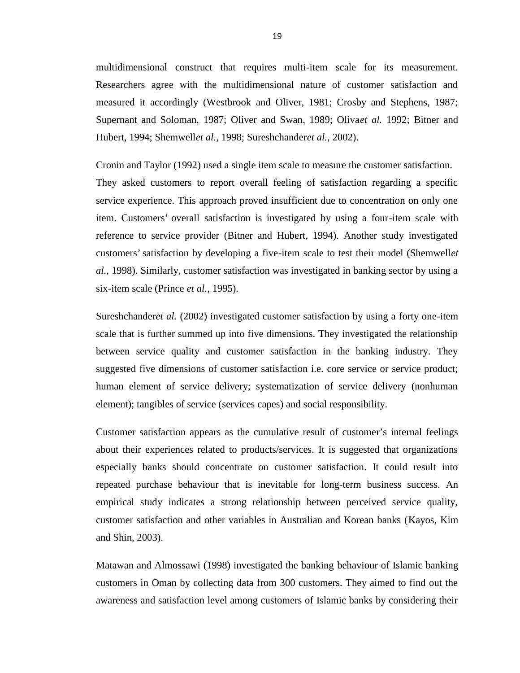multidimensional construct that requires multi-item scale for its measurement. Researchers agree with the multidimensional nature of customer satisfaction and measured it accordingly (Westbrook and Oliver, 1981; Crosby and Stephens, 1987; Supernant and Soloman, 1987; Oliver and Swan, 1989; Oliva*et al.* 1992; Bitner and Hubert, 1994; Shemwell*et al.*, 1998; Sureshchander*et al.*, 2002).

Cronin and Taylor (1992) used a single item scale to measure the customer satisfaction. They asked customers to report overall feeling of satisfaction regarding a specific service experience. This approach proved insufficient due to concentration on only one item. Customers' overall satisfaction is investigated by using a four-item scale with reference to service provider (Bitner and Hubert, 1994). Another study investigated customers' satisfaction by developing a five-item scale to test their model (Shemwell*et al.*, 1998). Similarly, customer satisfaction was investigated in banking sector by using a six-item scale (Prince *et al.*, 1995).

Sureshchander*et al.* (2002) investigated customer satisfaction by using a forty one-item scale that is further summed up into five dimensions. They investigated the relationship between service quality and customer satisfaction in the banking industry. They suggested five dimensions of customer satisfaction i.e. core service or service product; human element of service delivery; systematization of service delivery (nonhuman element); tangibles of service (services capes) and social responsibility.

Customer satisfaction appears as the cumulative result of customer's internal feelings about their experiences related to products/services. It is suggested that organizations especially banks should concentrate on customer satisfaction. It could result into repeated purchase behaviour that is inevitable for long-term business success. An empirical study indicates a strong relationship between perceived service quality, customer satisfaction and other variables in Australian and Korean banks (Kayos, Kim and Shin, 2003).

Matawan and Almossawi (1998) investigated the banking behaviour of Islamic banking customers in Oman by collecting data from 300 customers. They aimed to find out the awareness and satisfaction level among customers of Islamic banks by considering their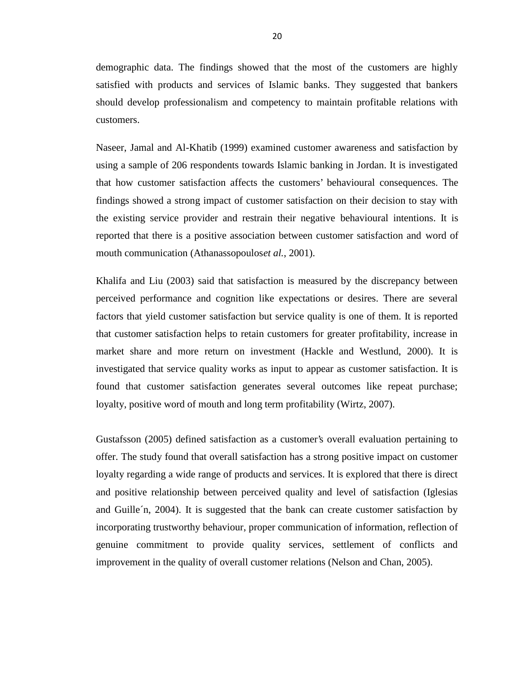demographic data. The findings showed that the most of the customers are highly satisfied with products and services of Islamic banks. They suggested that bankers should develop professionalism and competency to maintain profitable relations with customers.

Naseer, Jamal and Al-Khatib (1999) examined customer awareness and satisfaction by using a sample of 206 respondents towards Islamic banking in Jordan. It is investigated that how customer satisfaction affects the customers' behavioural consequences. The findings showed a strong impact of customer satisfaction on their decision to stay with the existing service provider and restrain their negative behavioural intentions. It is reported that there is a positive association between customer satisfaction and word of mouth communication (Athanassopoulos*et al.*, 2001).

Khalifa and Liu (2003) said that satisfaction is measured by the discrepancy between perceived performance and cognition like expectations or desires. There are several factors that yield customer satisfaction but service quality is one of them. It is reported that customer satisfaction helps to retain customers for greater profitability, increase in market share and more return on investment (Hackle and Westlund, 2000). It is investigated that service quality works as input to appear as customer satisfaction. It is found that customer satisfaction generates several outcomes like repeat purchase; loyalty, positive word of mouth and long term profitability (Wirtz, 2007).

Gustafsson (2005) defined satisfaction as a customer's overall evaluation pertaining to offer. The study found that overall satisfaction has a strong positive impact on customer loyalty regarding a wide range of products and services. It is explored that there is direct and positive relationship between perceived quality and level of satisfaction (Iglesias and Guille´n, 2004). It is suggested that the bank can create customer satisfaction by incorporating trustworthy behaviour, proper communication of information, reflection of genuine commitment to provide quality services, settlement of conflicts and improvement in the quality of overall customer relations (Nelson and Chan, 2005).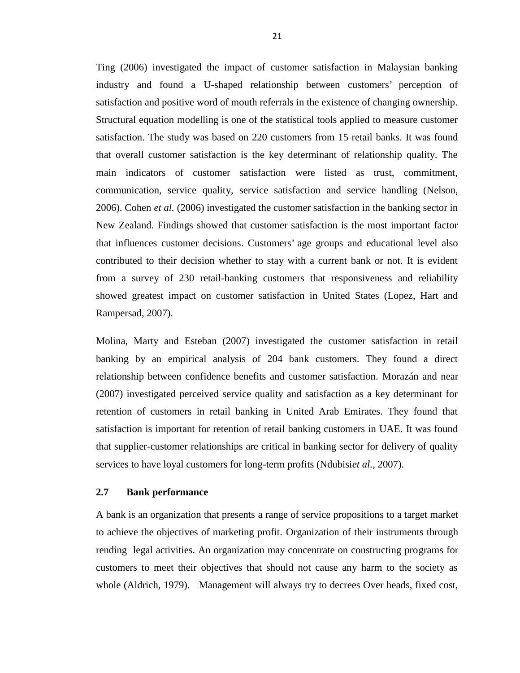Ting (2006) investigated the impact of customer satisfaction in Malaysian banking industry and found a U-shaped relationship between customers' perception of satisfaction and positive word of mouth referrals in the existence of changing ownership. Structural equation modelling is one of the statistical tools applied to measure customer satisfaction. The study was based on 220 customers from 15 retail banks. It was found that overall customer satisfaction is the key determinant of relationship quality. The main indicators of customer satisfaction were listed as trust, commitment, communication, service quality, service satisfaction and service handling (Nelson, 2006). Cohen *et al.* (2006) investigated the customer satisfaction in the banking sector in New Zealand. Findings showed that customer satisfaction is the most important factor that influences customer decisions. Customers' age groups and educational level also contributed to their decision whether to stay with a current bank or not. It is evident from a survey of 230 retail-banking customers that responsiveness and reliability showed greatest impact on customer satisfaction in United States (Lopez, Hart and Rampersad, 2007).

Molina, Marty and Esteban (2007) investigated the customer satisfaction in retail banking by an empirical analysis of 204 bank customers. They found a direct relationship between confidence benefits and customer satisfaction. Morazán and near (2007) investigated perceived service quality and satisfaction as a key determinant for retention of customers in retail banking in United Arab Emirates. They found that satisfaction is important for retention of retail banking customers in UAE. It was found that supplier-customer relationships are critical in banking sector for delivery of quality services to have loyal customers for long-term profits (Ndubisi*et al.*, 2007).

#### **2.7 Bank performance**

A bank is an organization that presents a range of service propositions to a target market to achieve the objectives of marketing profit. Organization of their instruments through rending legal activities. An organization may concentrate on constructing programs for customers to meet their objectives that should not cause any harm to the society as whole (Aldrich, 1979). Management will always try to decrees Over heads, fixed cost,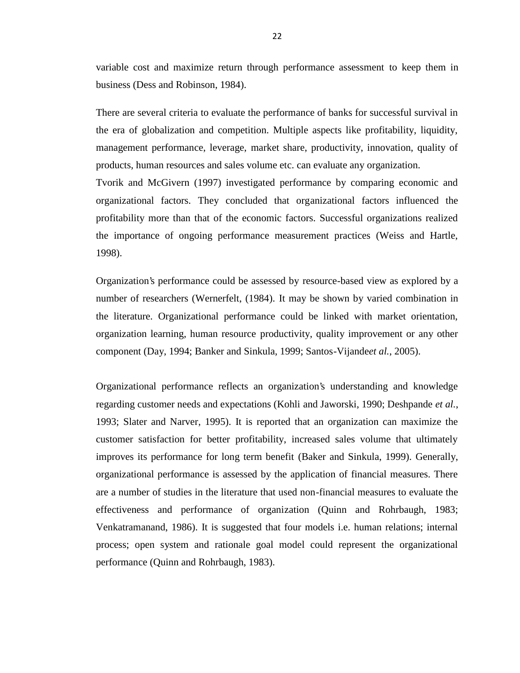variable cost and maximize return through performance assessment to keep them in business (Dess and Robinson, 1984).

There are several criteria to evaluate the performance of banks for successful survival in the era of globalization and competition. Multiple aspects like profitability, liquidity, management performance, leverage, market share, productivity, innovation, quality of products, human resources and sales volume etc. can evaluate any organization.

Tvorik and McGivern (1997) investigated performance by comparing economic and organizational factors. They concluded that organizational factors influenced the profitability more than that of the economic factors. Successful organizations realized the importance of ongoing performance measurement practices (Weiss and Hartle, 1998).

Organization's performance could be assessed by resource-based view as explored by a number of researchers (Wernerfelt, (1984). It may be shown by varied combination in the literature. Organizational performance could be linked with market orientation, organization learning, human resource productivity, quality improvement or any other component (Day, 1994; Banker and Sinkula, 1999; Santos-Vijande*et al.*, 2005).

Organizational performance reflects an organization's understanding and knowledge regarding customer needs and expectations (Kohli and Jaworski, 1990; Deshpande *et al.*, 1993; Slater and Narver, 1995). It is reported that an organization can maximize the customer satisfaction for better profitability, increased sales volume that ultimately improves its performance for long term benefit (Baker and Sinkula, 1999). Generally, organizational performance is assessed by the application of financial measures. There are a number of studies in the literature that used non-financial measures to evaluate the effectiveness and performance of organization (Quinn and Rohrbaugh, 1983; Venkatramanand, 1986). It is suggested that four models i.e. human relations; internal process; open system and rationale goal model could represent the organizational performance (Quinn and Rohrbaugh, 1983).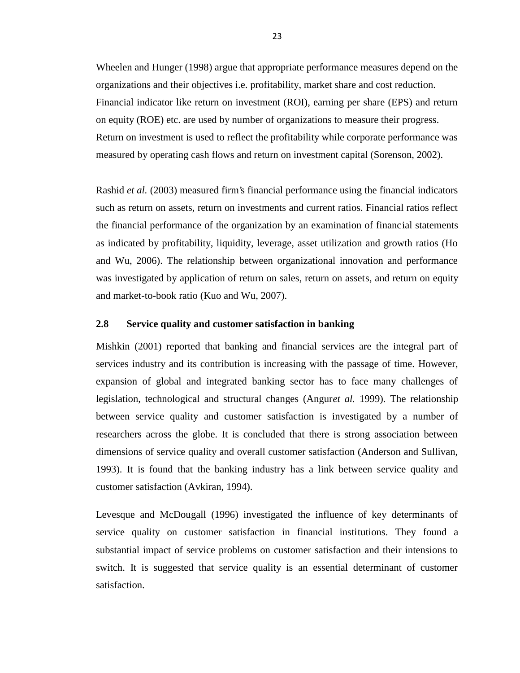Wheelen and Hunger (1998) argue that appropriate performance measures depend on the organizations and their objectives i.e. profitability, market share and cost reduction. Financial indicator like return on investment (ROI), earning per share (EPS) and return on equity (ROE) etc. are used by number of organizations to measure their progress. Return on investment is used to reflect the profitability while corporate performance was measured by operating cash flows and return on investment capital (Sorenson, 2002).

Rashid *et al.* (2003) measured firm's financial performance using the financial indicators such as return on assets, return on investments and current ratios. Financial ratios reflect the financial performance of the organization by an examination of financial statements as indicated by profitability, liquidity, leverage, asset utilization and growth ratios (Ho and Wu, 2006). The relationship between organizational innovation and performance was investigated by application of return on sales, return on assets, and return on equity and market-to-book ratio (Kuo and Wu, 2007).

#### **2.8 Service quality and customer satisfaction in banking**

Mishkin (2001) reported that banking and financial services are the integral part of services industry and its contribution is increasing with the passage of time. However, expansion of global and integrated banking sector has to face many challenges of legislation, technological and structural changes (Angur*et al.* 1999). The relationship between service quality and customer satisfaction is investigated by a number of researchers across the globe. It is concluded that there is strong association between dimensions of service quality and overall customer satisfaction (Anderson and Sullivan, 1993). It is found that the banking industry has a link between service quality and customer satisfaction (Avkiran, 1994).

Levesque and McDougall (1996) investigated the influence of key determinants of service quality on customer satisfaction in financial institutions. They found a substantial impact of service problems on customer satisfaction and their intensions to switch. It is suggested that service quality is an essential determinant of customer satisfaction.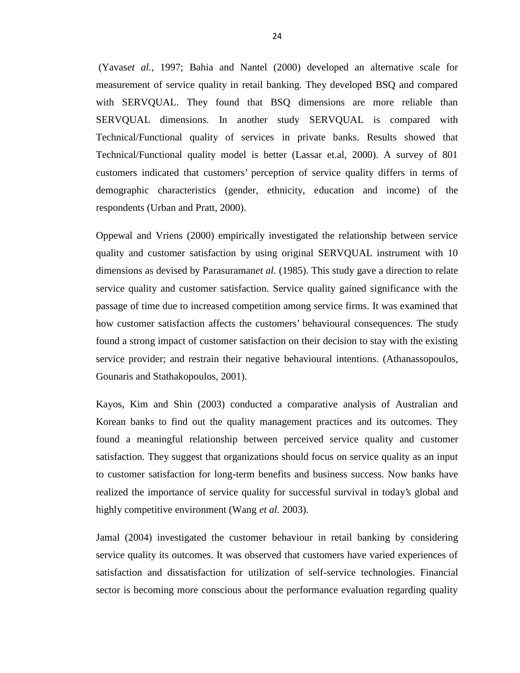(Yavas*et al.*, 1997; Bahia and Nantel (2000) developed an alternative scale for measurement of service quality in retail banking. They developed BSQ and compared with SERVQUAL. They found that BSQ dimensions are more reliable than SERVQUAL dimensions. In another study SERVQUAL is compared with Technical/Functional quality of services in private banks. Results showed that Technical/Functional quality model is better (Lassar et.al, 2000). A survey of 801 customers indicated that customers' perception of service quality differs in terms of demographic characteristics (gender, ethnicity, education and income) of the respondents (Urban and Pratt, 2000).

Oppewal and Vriens (2000) empirically investigated the relationship between service quality and customer satisfaction by using original SERVQUAL instrument with 10 dimensions as devised by Parasuraman*et al.* (1985). This study gave a direction to relate service quality and customer satisfaction. Service quality gained significance with the passage of time due to increased competition among service firms. It was examined that how customer satisfaction affects the customers' behavioural consequences. The study found a strong impact of customer satisfaction on their decision to stay with the existing service provider; and restrain their negative behavioural intentions. (Athanassopoulos, Gounaris and Stathakopoulos, 2001).

Kayos, Kim and Shin (2003) conducted a comparative analysis of Australian and Korean banks to find out the quality management practices and its outcomes. They found a meaningful relationship between perceived service quality and customer satisfaction. They suggest that organizations should focus on service quality as an input to customer satisfaction for long-term benefits and business success. Now banks have realized the importance of service quality for successful survival in today's global and highly competitive environment (Wang *et al.* 2003).

Jamal (2004) investigated the customer behaviour in retail banking by considering service quality its outcomes. It was observed that customers have varied experiences of satisfaction and dissatisfaction for utilization of self-service technologies. Financial sector is becoming more conscious about the performance evaluation regarding quality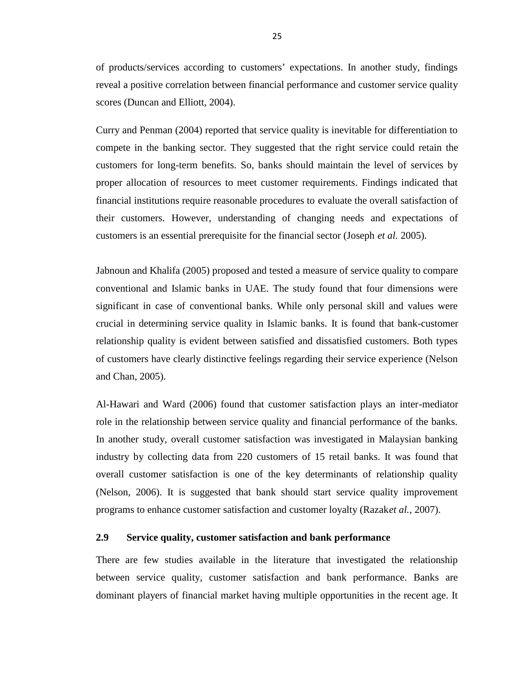of products/services according to customers' expectations. In another study, findings reveal a positive correlation between financial performance and customer service quality scores (Duncan and Elliott, 2004).

Curry and Penman (2004) reported that service quality is inevitable for differentiation to compete in the banking sector. They suggested that the right service could retain the customers for long-term benefits. So, banks should maintain the level of services by proper allocation of resources to meet customer requirements. Findings indicated that financial institutions require reasonable procedures to evaluate the overall satisfaction of their customers. However, understanding of changing needs and expectations of customers is an essential prerequisite for the financial sector (Joseph *et al.* 2005).

Jabnoun and Khalifa (2005) proposed and tested a measure of service quality to compare conventional and Islamic banks in UAE. The study found that four dimensions were significant in case of conventional banks. While only personal skill and values were crucial in determining service quality in Islamic banks. It is found that bank-customer relationship quality is evident between satisfied and dissatisfied customers. Both types of customers have clearly distinctive feelings regarding their service experience (Nelson and Chan, 2005).

Al-Hawari and Ward (2006) found that customer satisfaction plays an inter-mediator role in the relationship between service quality and financial performance of the banks. In another study, overall customer satisfaction was investigated in Malaysian banking industry by collecting data from 220 customers of 15 retail banks. It was found that overall customer satisfaction is one of the key determinants of relationship quality (Nelson, 2006). It is suggested that bank should start service quality improvement programs to enhance customer satisfaction and customer loyalty (Razak*et al.*, 2007).

## **2.9 Service quality, customer satisfaction and bank performance**

There are few studies available in the literature that investigated the relationship between service quality, customer satisfaction and bank performance. Banks are dominant players of financial market having multiple opportunities in the recent age. It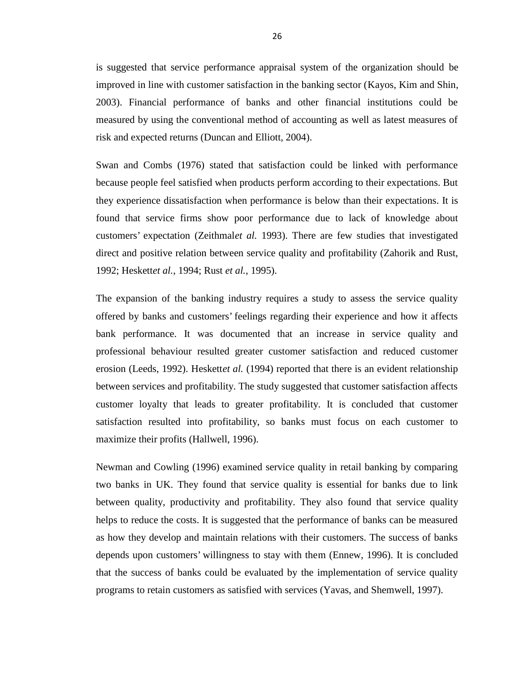is suggested that service performance appraisal system of the organization should be improved in line with customer satisfaction in the banking sector (Kayos, Kim and Shin, 2003). Financial performance of banks and other financial institutions could be measured by using the conventional method of accounting as well as latest measures of risk and expected returns (Duncan and Elliott, 2004).

Swan and Combs (1976) stated that satisfaction could be linked with performance because people feel satisfied when products perform according to their expectations. But they experience dissatisfaction when performance is below than their expectations. It is found that service firms show poor performance due to lack of knowledge about customers' expectation (Zeithmal*et al.* 1993). There are few studies that investigated direct and positive relation between service quality and profitability (Zahorik and Rust, 1992; Heskett*et al.*, 1994; Rust *et al.*, 1995).

The expansion of the banking industry requires a study to assess the service quality offered by banks and customers' feelings regarding their experience and how it affects bank performance. It was documented that an increase in service quality and professional behaviour resulted greater customer satisfaction and reduced customer erosion (Leeds, 1992). Heskett*et al.* (1994) reported that there is an evident relationship between services and profitability. The study suggested that customer satisfaction affects customer loyalty that leads to greater profitability. It is concluded that customer satisfaction resulted into profitability, so banks must focus on each customer to maximize their profits (Hallwell, 1996).

Newman and Cowling (1996) examined service quality in retail banking by comparing two banks in UK. They found that service quality is essential for banks due to link between quality, productivity and profitability. They also found that service quality helps to reduce the costs. It is suggested that the performance of banks can be measured as how they develop and maintain relations with their customers. The success of banks depends upon customers' willingness to stay with them (Ennew, 1996). It is concluded that the success of banks could be evaluated by the implementation of service quality programs to retain customers as satisfied with services (Yavas, and Shemwell, 1997).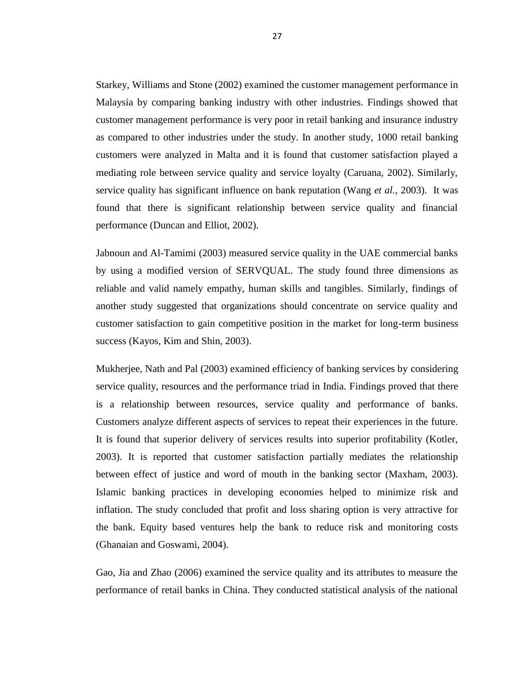Starkey, Williams and Stone (2002) examined the customer management performance in Malaysia by comparing banking industry with other industries. Findings showed that customer management performance is very poor in retail banking and insurance industry as compared to other industries under the study. In another study, 1000 retail banking customers were analyzed in Malta and it is found that customer satisfaction played a mediating role between service quality and service loyalty (Caruana, 2002). Similarly, service quality has significant influence on bank reputation (Wang *et al.*, 2003). It was found that there is significant relationship between service quality and financial performance (Duncan and Elliot, 2002).

Jabnoun and Al-Tamimi (2003) measured service quality in the UAE commercial banks by using a modified version of SERVQUAL. The study found three dimensions as reliable and valid namely empathy, human skills and tangibles. Similarly, findings of another study suggested that organizations should concentrate on service quality and customer satisfaction to gain competitive position in the market for long-term business success (Kayos, Kim and Shin, 2003).

Mukherjee, Nath and Pal (2003) examined efficiency of banking services by considering service quality, resources and the performance triad in India. Findings proved that there is a relationship between resources, service quality and performance of banks. Customers analyze different aspects of services to repeat their experiences in the future. It is found that superior delivery of services results into superior profitability (Kotler, 2003). It is reported that customer satisfaction partially mediates the relationship between effect of justice and word of mouth in the banking sector (Maxham, 2003). Islamic banking practices in developing economies helped to minimize risk and inflation. The study concluded that profit and loss sharing option is very attractive for the bank. Equity based ventures help the bank to reduce risk and monitoring costs (Ghanaian and Goswami, 2004).

Gao, Jia and Zhao (2006) examined the service quality and its attributes to measure the performance of retail banks in China. They conducted statistical analysis of the national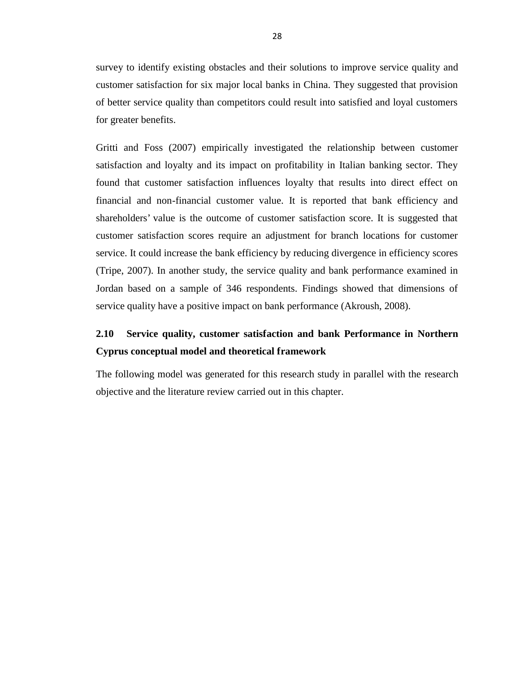survey to identify existing obstacles and their solutions to improve service quality and customer satisfaction for six major local banks in China. They suggested that provision of better service quality than competitors could result into satisfied and loyal customers for greater benefits.

Gritti and Foss (2007) empirically investigated the relationship between customer satisfaction and loyalty and its impact on profitability in Italian banking sector. They found that customer satisfaction influences loyalty that results into direct effect on financial and non-financial customer value. It is reported that bank efficiency and shareholders' value is the outcome of customer satisfaction score. It is suggested that customer satisfaction scores require an adjustment for branch locations for customer service. It could increase the bank efficiency by reducing divergence in efficiency scores (Tripe, 2007). In another study, the service quality and bank performance examined in Jordan based on a sample of 346 respondents. Findings showed that dimensions of service quality have a positive impact on bank performance (Akroush, 2008).

# **2.10 Service quality, customer satisfaction and bank Performance in Northern Cyprus conceptual model and theoretical framework**

The following model was generated for this research study in parallel with the research objective and the literature review carried out in this chapter.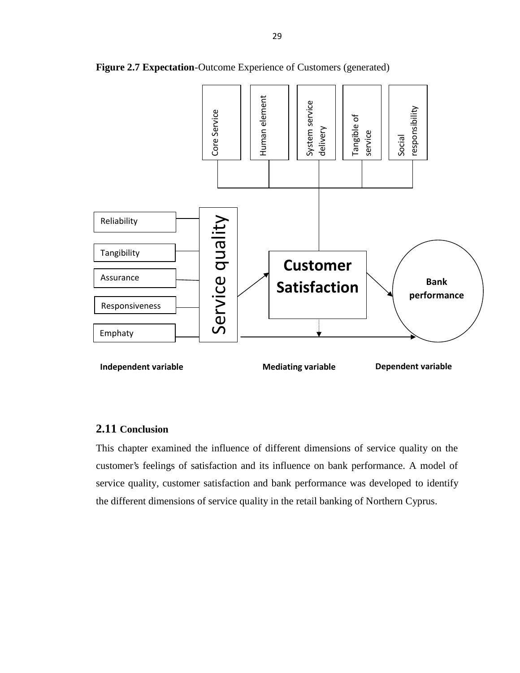

**Figure 2.7 Expectation**-Outcome Experience of Customers (generated)

## **2.11 Conclusion**

This chapter examined the influence of different dimensions of service quality on the customer's feelings of satisfaction and its influence on bank performance. A model of service quality, customer satisfaction and bank performance was developed to identify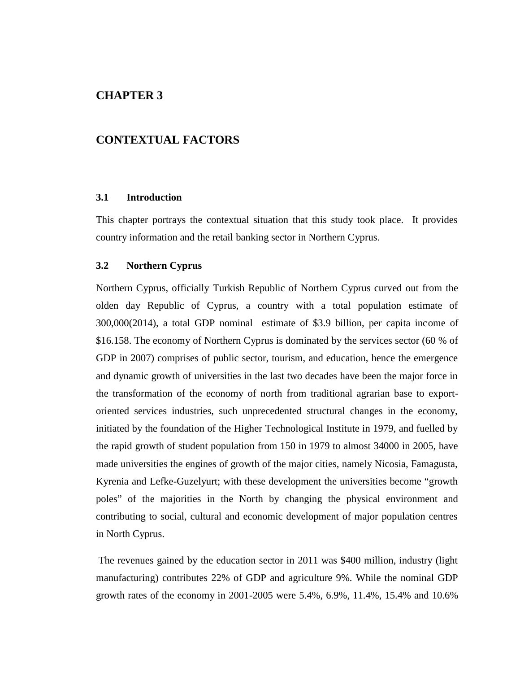# **CHAPTER 3**

## **CONTEXTUAL FACTORS**

#### **3.1 Introduction**

This chapter portrays the contextual situation that this study took place. It provides country information and the retail banking sector in Northern Cyprus.

#### **3.2 Northern Cyprus**

Northern Cyprus, officially Turkish Republic of Northern Cyprus curved out from the olden day Republic of Cyprus, a country with a total population estimate of 300,000(2014), a total GDP nominal estimate of \$3.9 billion, per capita income of \$16.158. The economy of Northern Cyprus is dominated by the services sector (60 % of GDP in 2007) comprises of public sector, tourism, and education, hence the emergence and dynamic growth of universities in the last two decades have been the major force in the transformation of the economy of north from traditional agrarian base to export oriented services industries, such unprecedented structural changes in the economy, initiated by the foundation of the Higher Technological Institute in 1979, and fuelled by the rapid growth of student population from 150 in 1979 to almost 34000 in 2005, have made universities the engines of growth of the major cities, namely Nicosia, Famagusta, Kyrenia and Lefke-Guzelyurt; with these development the universities become "growth poles" of the majorities in the North by changing the physical environment and contributing to social, cultural and economic development of major population centres in North Cyprus.

The revenues gained by the education sector in 2011 was \$400 million, industry (light manufacturing) contributes 22% of GDP and agriculture 9%. While the nominal GDP growth rates of the economy in 2001-2005 were 5.4%, 6.9%, 11.4%, 15.4% and 10.6%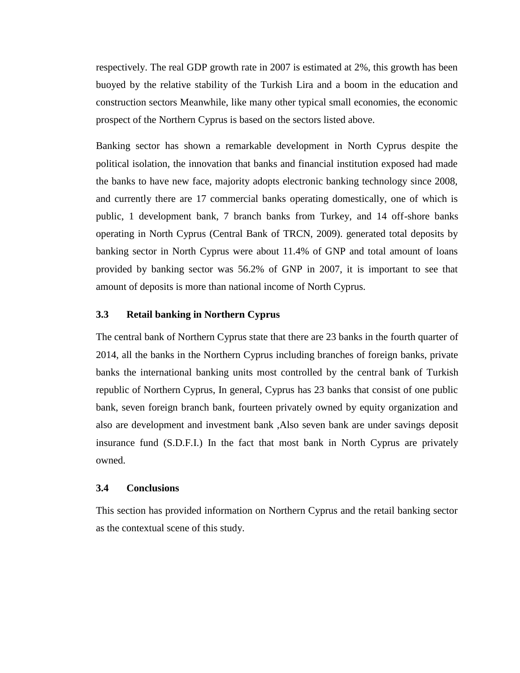respectively. The real GDP growth rate in 2007 is estimated at 2%, this growth has been buoyed by the relative stability of the Turkish Lira and a boom in the education and construction sectors Meanwhile, like many other typical small economies, the economic prospect of the Northern Cyprus is based on the sectors listed above.

Banking sector has shown a remarkable development in North Cyprus despite the political isolation, the innovation that banks and financial institution exposed had made the banks to have new face, majority adopts electronic banking technology since 2008, and currently there are 17 commercial banks operating domestically, one of which is public, 1 development bank, 7 branch banks from Turkey, and 14 off-shore banks operating in North Cyprus (Central Bank of TRCN, 2009). generated total deposits by banking sector in North Cyprus were about 11.4% of GNP and total amount of loans provided by banking sector was 56.2% of GNP in 2007, it is important to see that amount of deposits is more than national income of North Cyprus.

## **3.3 Retail banking in Northern Cyprus**

The central bank of Northern Cyprus state that there are 23 banks in the fourth quarter of 2014, all the banks in the Northern Cyprus including branches of foreign banks, private banks the international banking units most controlled by the central bank of Turkish republic of Northern Cyprus, In general, Cyprus has 23 banks that consist of one public bank, seven foreign branch bank, fourteen privately owned by equity organization and also are development and investment bank ,Also seven bank are under savings deposit insurance fund (S.D.F.I.) In the fact that most bank in North Cyprus are privately owned.

#### **3.4 Conclusions**

This section has provided information on Northern Cyprus and the retail banking sector as the contextual scene of this study.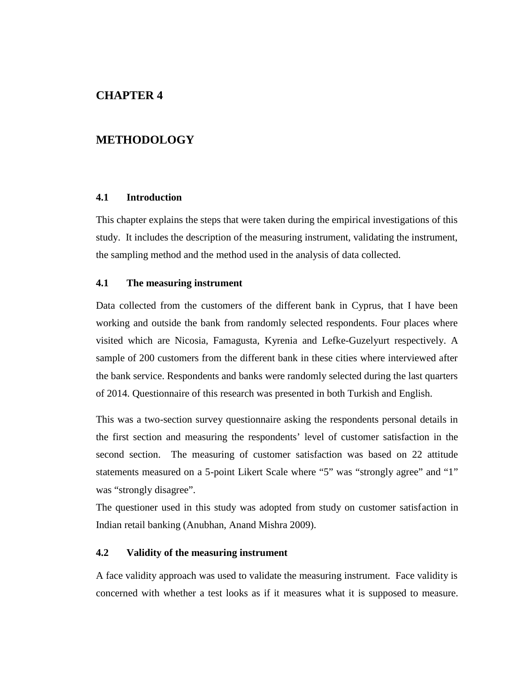# **CHAPTER 4**

# **METHODOLOGY**

## **4.1 Introduction**

This chapter explains the steps that were taken during the empirical investigations of this study. It includes the description of the measuring instrument, validating the instrument, the sampling method and the method used in the analysis of data collected.

#### **4.1 The measuring instrument**

Data collected from the customers of the different bank in Cyprus, that I have been working and outside the bank from randomly selected respondents. Four places where visited which are Nicosia, Famagusta, Kyrenia and Lefke-Guzelyurt respectively. A sample of 200 customers from the different bank in these cities where interviewed after the bank service. Respondents and banks were randomly selected during the last quarters of 2014. Questionnaire of this research was presented in both Turkish and English.

This was a two-section survey questionnaire asking the respondents personal details in the first section and measuring the respondents' level of customer satisfaction in the second section. The measuring of customer satisfaction was based on 22 attitude statements measured on a 5-point Likert Scale where "5" was "strongly agree" and "1" was "strongly disagree".

The questioner used in this study was adopted from study on customer satisfaction in Indian retail banking (Anubhan, Anand Mishra 2009).

## **4.2 Validity of the measuring instrument**

A face validity approach was used to validate the measuring instrument. Face validity is concerned with whether a test looks as if it measures what it is supposed to measure.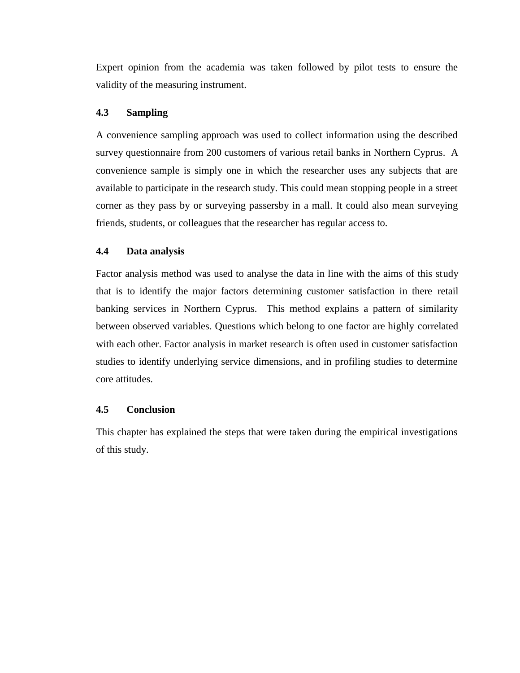Expert opinion from the academia was taken followed by pilot tests to ensure the validity of the measuring instrument.

## **4.3 Sampling**

A convenience sampling approach was used to collect information using the described survey questionnaire from 200 customers of various retail banks in Northern Cyprus. A convenience sample is simply one in which the researcher uses any subjects that are available to participate in the research study. This could mean stopping people in a street corner as they pass by or surveying passersby in a mall. It could also mean surveying friends, students, or colleagues that the researcher has regular access to.

### **4.4 Data analysis**

Factor analysis method was used to analyse the data in line with the aims of this study that is to identify the major factors determining customer satisfaction in there retail banking services in Northern Cyprus. This method explains a pattern of similarity between observed variables. Questions which belong to one factor are highly correlated with each other. Factor analysis in market research is often used in customer satisfaction studies to identify underlying service dimensions, and in profiling studies to determine core attitudes.

#### **4.5 Conclusion**

This chapter has explained the steps that were taken during the empirical investigations of this study.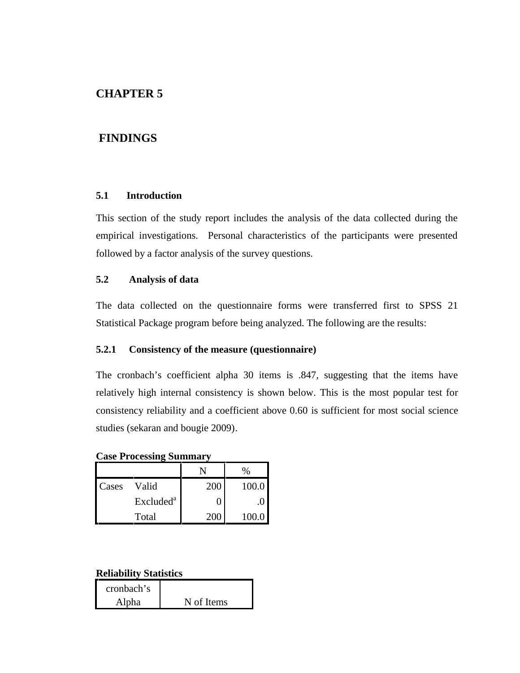# **CHAPTER 5**

# **FINDINGS**

### **5.1 Introduction**

This section of the study report includes the analysis of the data collected during the empirical investigations. Personal characteristics of the participants were presented followed by a factor analysis of the survey questions.

### **5.2 Analysis of data**

The data collected on the questionnaire forms were transferred first to SPSS 21 Statistical Package program before being analyzed. The following are the results:

#### **5.2.1 Consistency of the measure (questionnaire)**

The cronbach's coefficient alpha 30 items is .847, suggesting that the items have relatively high internal consistency is shown below. This is the most popular test for consistency reliability and a coefficient above 0.60 is sufficient for most social science studies (sekaran and bougie 2009).

**Case Processing Summary**

|       |                       |     | $\%$  |
|-------|-----------------------|-----|-------|
| Cases | Valid                 | 200 | 100.0 |
|       | Excluded <sup>a</sup> |     |       |
|       | Total                 |     | 100.0 |

### **Reliability Statistics**

| cronbach's |            |
|------------|------------|
| Alpha      | N of Items |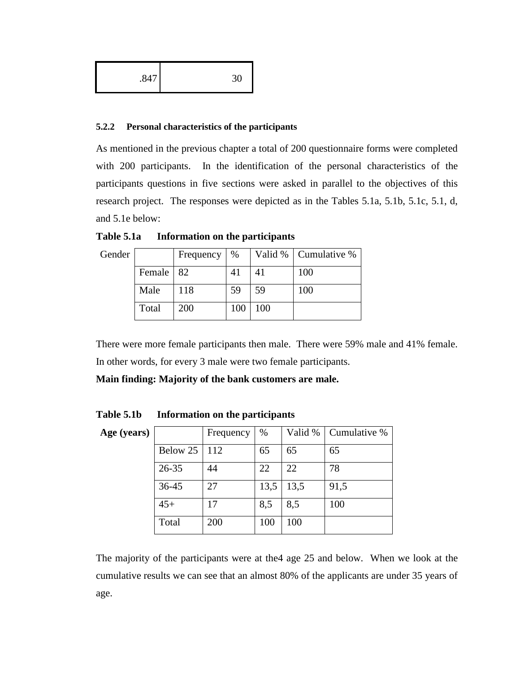| .847 | nη<br>21<br>υc |  |
|------|----------------|--|
|------|----------------|--|

#### **5.2.2 Personal characteristics of the participants**

As mentioned in the previous chapter a total of 200 questionnaire forms were completed with 200 participants. In the identification of the personal characteristics of the participants questions in five sections were asked in parallel to the objectives of this research project. The responses were depicted as in the Tables 5.1a, 5.1b, 5.1c, 5.1, d, and 5.1e below:

| Gender |             | Frequency | $\%$ |     | Valid %   Cumulative % |
|--------|-------------|-----------|------|-----|------------------------|
|        | Female   82 |           | 41   |     | 100                    |
|        | Male        | 118       | 59   | 59  | 100                    |
|        | Total       | 200       | 100  | 100 |                        |

**Table 5.1a Information on the participants**

There were more female participants then male. There were 59% male and 41% female. In other words, for every 3 male were two female participants.

**Main finding: Majority of the bank customers are male.**

**Table 5.1b Information on the participants**

| Age (years) |           | Frequency | $\%$ | Valid % | Cumulative % |
|-------------|-----------|-----------|------|---------|--------------|
|             | Below 25  | 112       | 65   | 65      | 65           |
|             | $26 - 35$ | 44        | 22   | 22      | 78           |
|             | 36-45     | 27        | 13,5 | 13,5    | 91,5         |
|             | $45+$     | 17        | 8,5  | 8,5     | 100          |
|             | Total     | 200       | 100  | 100     |              |

The majority of the participants were at the4 age 25 and below. When we look at the cumulative results we can see that an almost 80% of the applicants are under 35 years of age.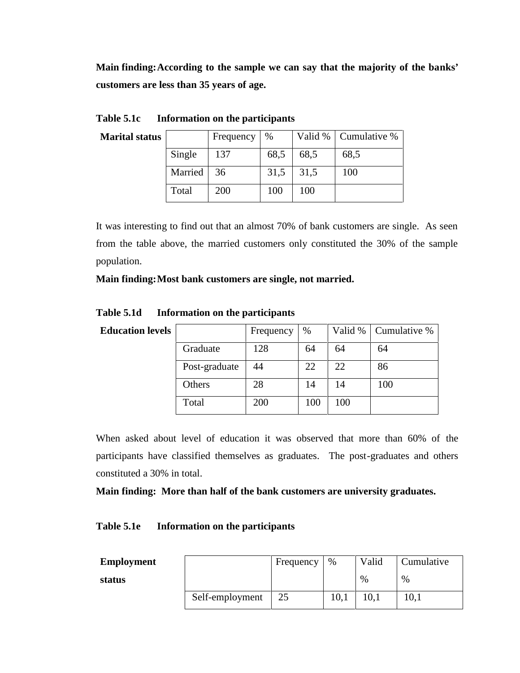**Main finding:According to the sample we can say that the majority of the banks' customers are less than 35 years of age.**

| <b>Marital status</b> |         | Frequency  | %    |      | Valid %   Cumulative % |
|-----------------------|---------|------------|------|------|------------------------|
|                       | Single  | 137        | 68,5 | 68,5 | 68,5                   |
|                       | Married | 36         | 31,5 | 31,5 | 100                    |
|                       | Total   | <b>200</b> | 100  | 100  |                        |

**Table 5.1c Information on the participants**

It was interesting to find out that an almost 70% of bank customers are single. As seen from the table above, the married customers only constituted the 30% of the sample population.

**Main finding:Most bank customers are single, not married.**

| <b>Education levels</b> |               | Frequency | %   | Valid % | Cumulative % |
|-------------------------|---------------|-----------|-----|---------|--------------|
|                         | Graduate      | 128       | 64  | 64      | 64           |
|                         | Post-graduate | 44        | 22  | 22      | 86           |
|                         | Others        | 28        | 14  | 14      | 100          |
|                         | Total         | 200       | 100 | 100     |              |

**Table 5.1d Information on the participants**

When asked about level of education it was observed that more than 60% of the participants have classified themselves as graduates. The post-graduates and others constituted a 30% in total.

**Main finding: More than half of the bank customers are university graduates.**

# **Table 5.1e Information on the participants**

| <b>Employment</b> |                 | Frequency | %    | Valid         | Cumulative |
|-------------------|-----------------|-----------|------|---------------|------------|
| status            |                 |           |      | $\frac{0}{0}$ | %          |
|                   | Self-employment | 25        | 10,1 | 10,1          | 10.1       |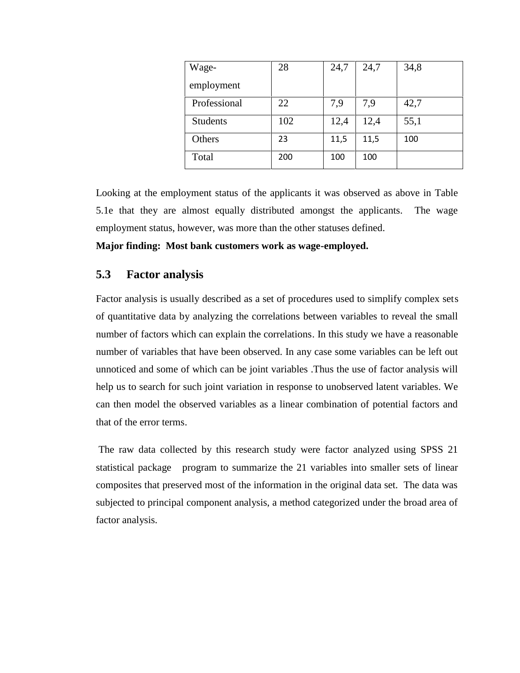| Wage-           | 28  | 24,7 | 24,7 | 34,8 |
|-----------------|-----|------|------|------|
| employment      |     |      |      |      |
| Professional    | 22  | 7,9  | 7,9  | 42,7 |
| <b>Students</b> | 102 | 12,4 | 12,4 | 55,1 |
| Others          | 23  | 11,5 | 11,5 | 100  |
| Total           | 200 | 100  | 100  |      |

Looking at the employment status of the applicants it was observed as above in Table 5.1e that they are almost equally distributed amongst the applicants. The wage employment status, however, was more than the other statuses defined.

**Major finding: Most bank customers work as wage-employed.**

# **5.3 Factor analysis**

Factor analysis is usually described as a set of procedures used to simplify complex sets of quantitative data by analyzing the correlations between variables to reveal the small number of factors which can explain the correlations. In this study we have a reasonable number of variables that have been observed. In any case some variables can be left out unnoticed and some of which can be joint variables .Thus the use of factor analysis will help us to search for such joint variation in response to unobserved latent variables. We can then model the observed variables as a linear combination of potential factors and that of the error terms.

The raw data collected by this research study were factor analyzed using SPSS 21 statistical package program to summarize the 21 variables into smaller sets of linear composites that preserved most of the information in the original data set. The data was subjected to principal component analysis, a method categorized under the broad area of factor analysis.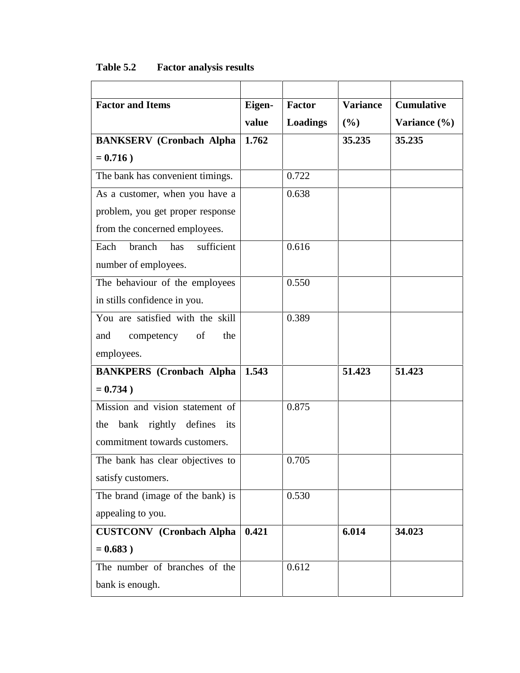| Eigen-                          | <b>Factor</b>   | <b>Variance</b> | <b>Cumulative</b> |
|---------------------------------|-----------------|-----------------|-------------------|
| value                           | <b>Loadings</b> | (%)             | Variance (%)      |
| 1.762                           |                 | 35.235          | 35.235            |
|                                 |                 |                 |                   |
|                                 | 0.722           |                 |                   |
|                                 | 0.638           |                 |                   |
|                                 |                 |                 |                   |
|                                 |                 |                 |                   |
|                                 | 0.616           |                 |                   |
|                                 |                 |                 |                   |
|                                 | 0.550           |                 |                   |
|                                 |                 |                 |                   |
|                                 | 0.389           |                 |                   |
|                                 |                 |                 |                   |
|                                 |                 |                 |                   |
| 1.543                           |                 | 51.423          | 51.423            |
|                                 |                 |                 |                   |
|                                 | 0.875           |                 |                   |
|                                 |                 |                 |                   |
|                                 |                 |                 |                   |
|                                 | 0.705           |                 |                   |
|                                 |                 |                 |                   |
|                                 | 0.530           |                 |                   |
|                                 |                 |                 |                   |
| 0.421                           |                 | 6.014           | 34.023            |
|                                 |                 |                 |                   |
|                                 | 0.612           |                 |                   |
|                                 |                 |                 |                   |
| <b>CUSTCONV</b> (Cronbach Alpha |                 |                 |                   |

# **Table 5.2 Factor analysis results**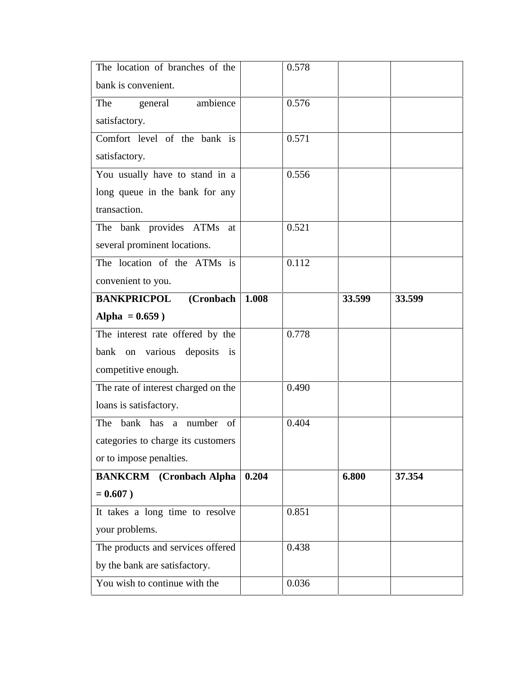| The location of branches of the     |       | 0.578 |        |        |
|-------------------------------------|-------|-------|--------|--------|
| bank is convenient.                 |       |       |        |        |
| general ambience<br>The             |       | 0.576 |        |        |
| satisfactory.                       |       |       |        |        |
| Comfort level of the bank is        |       | 0.571 |        |        |
| satisfactory.                       |       |       |        |        |
| You usually have to stand in a      |       | 0.556 |        |        |
| long queue in the bank for any      |       |       |        |        |
| transaction.                        |       |       |        |        |
| The bank provides ATMs at           |       | 0.521 |        |        |
| several prominent locations.        |       |       |        |        |
| The location of the ATMs is         |       | 0.112 |        |        |
| convenient to you.                  |       |       |        |        |
| (Cronbach<br><b>BANKPRICPOL</b>     | 1.008 |       | 33.599 | 33.599 |
| Alpha = $0.659$ )                   |       |       |        |        |
| The interest rate offered by the    |       | 0.778 |        |        |
| bank on various deposits is         |       |       |        |        |
| competitive enough.                 |       |       |        |        |
| The rate of interest charged on the |       | 0.490 |        |        |
| loans is satisfactory.              |       |       |        |        |
| bank has a number of<br>The         |       | 0.404 |        |        |
| categories to charge its customers  |       |       |        |        |
| or to impose penalties.             |       |       |        |        |
| <b>BANKCRM</b> (Cronbach Alpha      | 0.204 |       | 6.800  | 37.354 |
| $= 0.607$ )                         |       |       |        |        |
| It takes a long time to resolve     |       | 0.851 |        |        |
| your problems.                      |       |       |        |        |
| The products and services offered   |       | 0.438 |        |        |
| by the bank are satisfactory.       |       |       |        |        |
| You wish to continue with the       |       | 0.036 |        |        |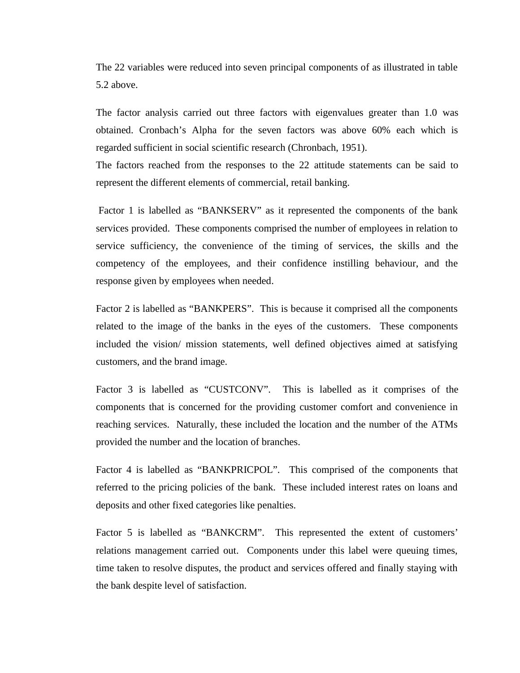The 22 variables were reduced into seven principal components of as illustrated in table 5.2 above.

The factor analysis carried out three factors with eigenvalues greater than 1.0 was obtained. Cronbach's Alpha for the seven factors was above 60% each which is regarded sufficient in social scientific research (Chronbach, 1951).

The factors reached from the responses to the 22 attitude statements can be said to represent the different elements of commercial, retail banking.

Factor 1 is labelled as "BANKSERV" as it represented the components of the bank services provided. These components comprised the number of employees in relation to service sufficiency, the convenience of the timing of services, the skills and the competency of the employees, and their confidence instilling behaviour, and the response given by employees when needed.

Factor 2 is labelled as "BANKPERS". This is because it comprised all the components related to the image of the banks in the eyes of the customers. These components included the vision/ mission statements, well defined objectives aimed at satisfying customers, and the brand image.

Factor 3 is labelled as "CUSTCONV". This is labelled as it comprises of the components that is concerned for the providing customer comfort and convenience in reaching services. Naturally, these included the location and the number of the ATMs provided the number and the location of branches.

Factor 4 is labelled as "BANKPRICPOL". This comprised of the components that referred to the pricing policies of the bank. These included interest rates on loans and deposits and other fixed categories like penalties.

Factor 5 is labelled as "BANKCRM". This represented the extent of customers' relations management carried out. Components under this label were queuing times, time taken to resolve disputes, the product and services offered and finally staying with the bank despite level of satisfaction.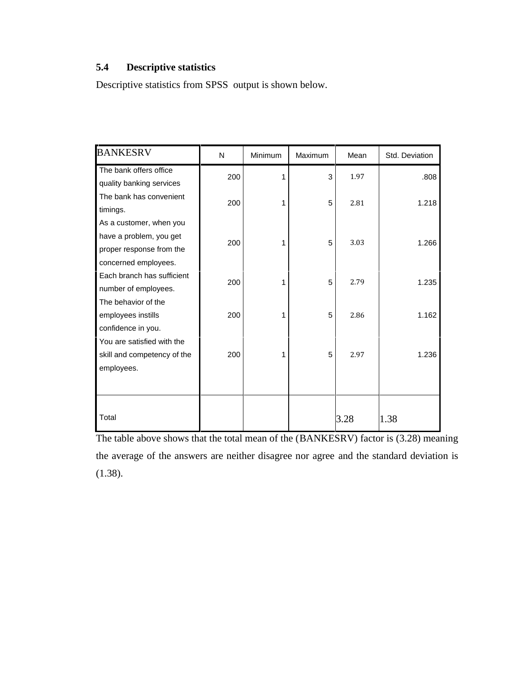# **5.4 Descriptive statistics**

Descriptive statistics from SPSS output is shown below.

| <b>BANKESRV</b>             | N   | Minimum | Maximum | Mean | Std. Deviation |
|-----------------------------|-----|---------|---------|------|----------------|
| The bank offers office      | 200 | 1       | 3       | 1.97 | .808           |
| quality banking services    |     |         |         |      |                |
| The bank has convenient     | 200 | 1       | 5       | 2.81 | 1.218          |
| timings.                    |     |         |         |      |                |
| As a customer, when you     |     |         |         |      |                |
| have a problem, you get     | 200 | 1       | 5       | 3.03 | 1.266          |
| proper response from the    |     |         |         |      |                |
| concerned employees.        |     |         |         |      |                |
| Each branch has sufficient  | 200 | 1       | 5       | 2.79 | 1.235          |
| number of employees.        |     |         |         |      |                |
| The behavior of the         |     |         |         |      |                |
| employees instills          | 200 | 1       | 5       | 2.86 | 1.162          |
| confidence in you.          |     |         |         |      |                |
| You are satisfied with the  |     |         |         |      |                |
| skill and competency of the | 200 | 1       | 5       | 2.97 | 1.236          |
| employees.                  |     |         |         |      |                |
|                             |     |         |         |      |                |
|                             |     |         |         |      |                |
| Total                       |     |         |         | 3.28 | 1.38           |

The table above shows that the total mean of the (BANKESRV) factor is (3.28) meaning the average of the answers are neither disagree nor agree and the standard deviation is (1.38).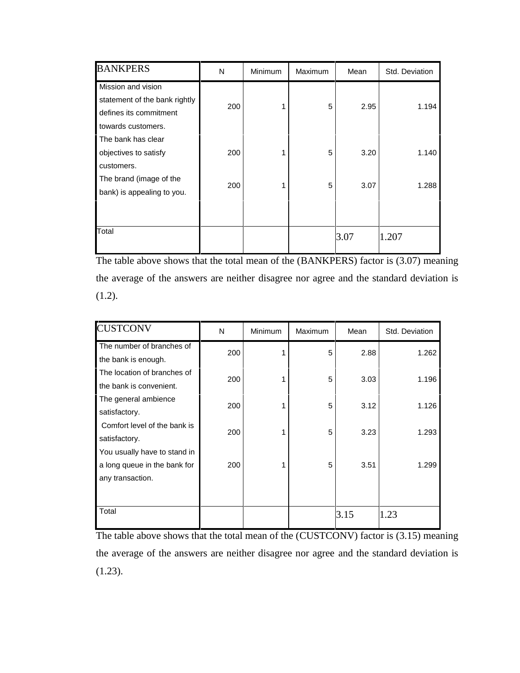| <b>BANKPERS</b>               | N   | Minimum | Maximum | Mean | Std. Deviation |
|-------------------------------|-----|---------|---------|------|----------------|
| Mission and vision            |     |         |         |      |                |
| statement of the bank rightly | 200 |         | 5       | 2.95 | 1.194          |
| defines its commitment        |     |         |         |      |                |
| towards customers.            |     |         |         |      |                |
| The bank has clear            |     |         |         |      |                |
| objectives to satisfy         | 200 |         | 5       | 3.20 | 1.140          |
| customers.                    |     |         |         |      |                |
| The brand (image of the       | 200 |         | 5       | 3.07 | 1.288          |
| bank) is appealing to you.    |     |         |         |      |                |
|                               |     |         |         |      |                |
|                               |     |         |         |      |                |
| Total                         |     |         |         | 3.07 | 1.207          |
|                               |     |         |         |      |                |

The table above shows that the total mean of the (BANKPERS) factor is (3.07) meaning the average of the answers are neither disagree nor agree and the standard deviation is  $(1.2).$ 

| <b>CUSTCONV</b>              | N   | <b>Minimum</b> | Maximum | Mean | Std. Deviation |
|------------------------------|-----|----------------|---------|------|----------------|
| The number of branches of    | 200 |                | 5       | 2.88 | 1.262          |
| the bank is enough.          |     |                |         |      |                |
| The location of branches of  | 200 |                | 5       | 3.03 | 1.196          |
| the bank is convenient.      |     |                |         |      |                |
| The general ambience         | 200 |                | 5       | 3.12 | 1.126          |
| satisfactory.                |     |                |         |      |                |
| Comfort level of the bank is | 200 |                | 5       | 3.23 | 1.293          |
| satisfactory.                |     |                |         |      |                |
| You usually have to stand in |     |                |         |      |                |
| a long queue in the bank for | 200 |                | 5       | 3.51 | 1.299          |
| any transaction.             |     |                |         |      |                |
|                              |     |                |         |      |                |
| Total                        |     |                |         | 3.15 | 1.23           |

The table above shows that the total mean of the (CUSTCONV) factor is (3.15) meaning the average of the answers are neither disagree nor agree and the standard deviation is (1.23).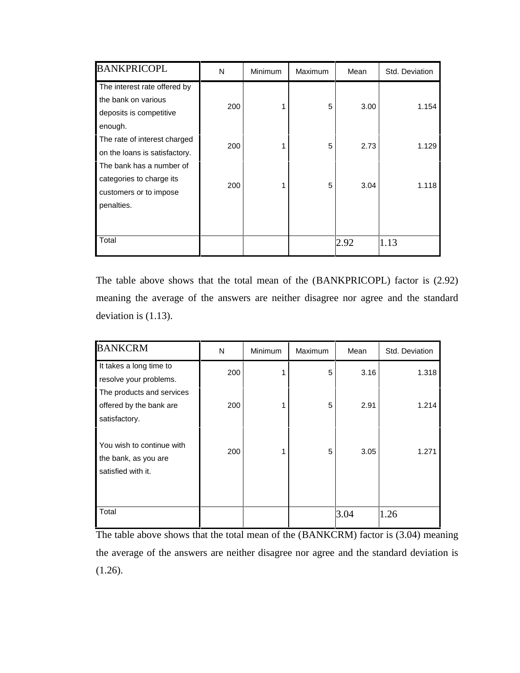| <b>BANKPRICOPL</b>            | N   | <b>Minimum</b> | Maximum | Mean | Std. Deviation |
|-------------------------------|-----|----------------|---------|------|----------------|
| The interest rate offered by  |     |                |         |      |                |
| the bank on various           | 200 |                | 5       | 3.00 | 1.154          |
| deposits is competitive       |     |                |         |      |                |
| enough.                       |     |                |         |      |                |
| The rate of interest charged  | 200 |                | 5       | 2.73 | 1.129          |
| on the loans is satisfactory. |     |                |         |      |                |
| The bank has a number of      |     |                |         |      |                |
| categories to charge its      | 200 |                | 5       | 3.04 | 1.118          |
| customers or to impose        |     |                |         |      |                |
| penalties.                    |     |                |         |      |                |
|                               |     |                |         |      |                |
|                               |     |                |         |      |                |
| Total                         |     |                |         | 2.92 | 1.13           |

The table above shows that the total mean of the (BANKPRICOPL) factor is (2.92) meaning the average of the answers are neither disagree nor agree and the standard deviation is (1.13).

| <b>BANKCRM</b>                                                          | N   | Minimum | Maximum | Mean | Std. Deviation |
|-------------------------------------------------------------------------|-----|---------|---------|------|----------------|
| It takes a long time to<br>resolve your problems.                       | 200 |         | 5       | 3.16 | 1.318          |
| The products and services<br>offered by the bank are<br>satisfactory.   | 200 |         | 5       | 2.91 | 1.214          |
| You wish to continue with<br>the bank, as you are<br>satisfied with it. | 200 |         | 5       | 3.05 | 1.271          |
| Total                                                                   |     |         |         | 3.04 | 1.26           |

The table above shows that the total mean of the (BANKCRM) factor is (3.04) meaning the average of the answers are neither disagree nor agree and the standard deviation is (1.26).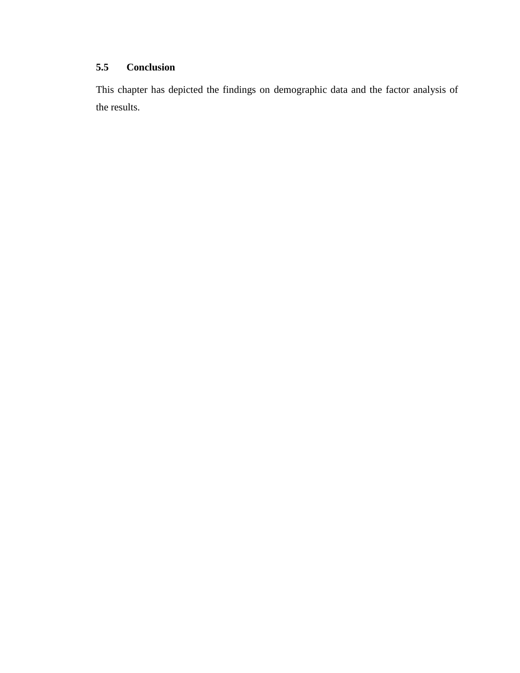# **5.5 Conclusion**

This chapter has depicted the findings on demographic data and the factor analysis of the results.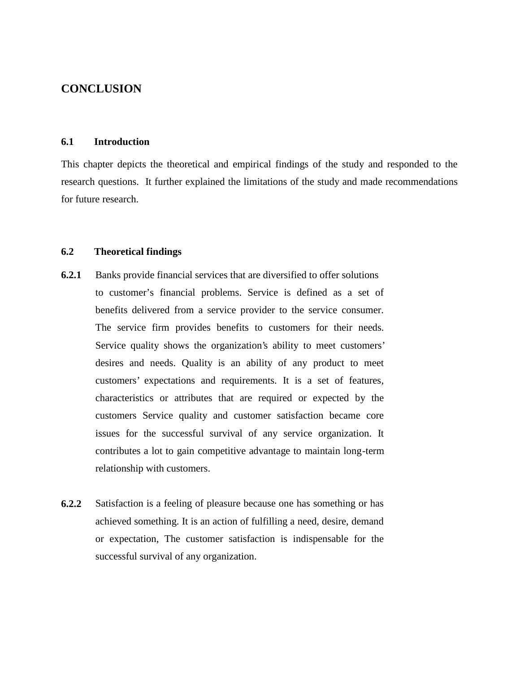# **CONCLUSION**

## **6.1 Introduction**

This chapter depicts the theoretical and empirical findings of the study and responded to the research questions. It further explained the limitations of the study and made recommendations for future research.

#### **6.2 Theoretical findings**

- **6.2.1** Banks provide financial services that are diversified to offer solutions to customer's financial problems. Service is defined as a set of benefits delivered from a service provider to the service consumer. The service firm provides benefits to customers for their needs. Service quality shows the organization's ability to meet customers' desires and needs. Quality is an ability of any product to meet customers' expectations and requirements. It is a set of features, characteristics or attributes that are required or expected by the customers Service quality and customer satisfaction became core issues for the successful survival of any service organization. It contributes a lot to gain competitive advantage to maintain long-term relationship with customers.
- **6.2.2** Satisfaction is a feeling of pleasure because one has something or has achieved something. It is an action of fulfilling a need, desire, demand or expectation, The customer satisfaction is indispensable for the successful survival of any organization.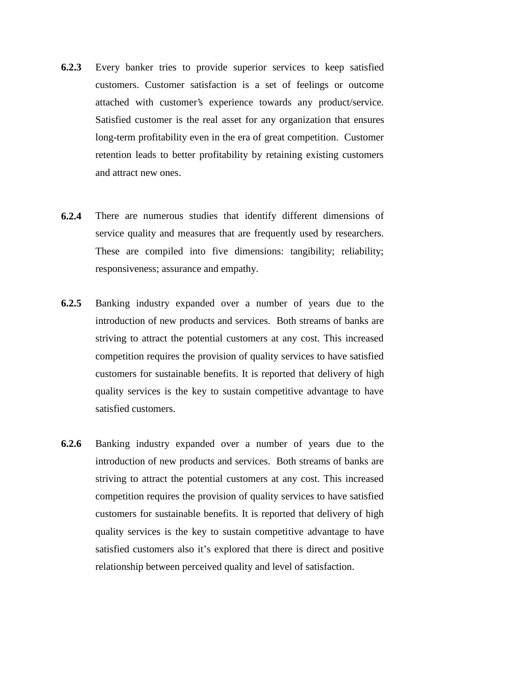- **6.2.3** Every banker tries to provide superior services to keep satisfied customers. Customer satisfaction is a set of feelings or outcome attached with customer's experience towards any product/service. Satisfied customer is the real asset for any organization that ensures long-term profitability even in the era of great competition. Customer retention leads to better profitability by retaining existing customers and attract new ones.
- **6.2.4** There are numerous studies that identify different dimensions of service quality and measures that are frequently used by researchers. These are compiled into five dimensions: tangibility; reliability; responsiveness; assurance and empathy.
- **6.2.5** Banking industry expanded over a number of years due to the introduction of new products and services. Both streams of banks are striving to attract the potential customers at any cost. This increased competition requires the provision of quality services to have satisfied customers for sustainable benefits. It is reported that delivery of high quality services is the key to sustain competitive advantage to have satisfied customers.
- **6.2.6** Banking industry expanded over a number of years due to the introduction of new products and services. Both streams of banks are striving to attract the potential customers at any cost. This increased competition requires the provision of quality services to have satisfied customers for sustainable benefits. It is reported that delivery of high quality services is the key to sustain competitive advantage to have satisfied customers also it's explored that there is direct and positive relationship between perceived quality and level of satisfaction.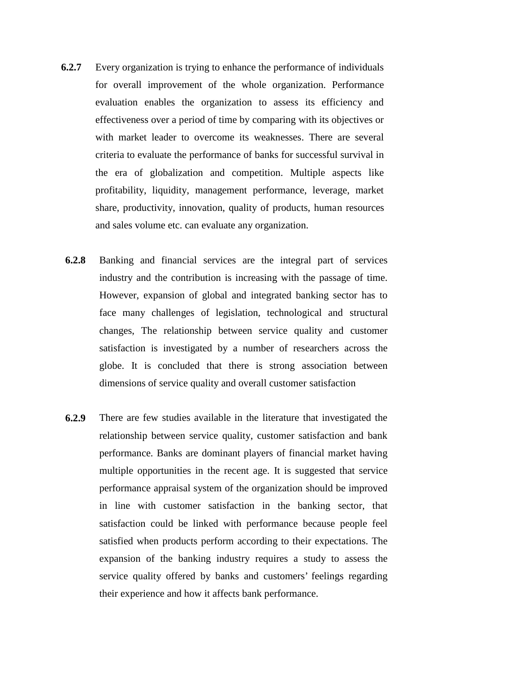- **6.2.7** Every organization is trying to enhance the performance of individuals for overall improvement of the whole organization. Performance evaluation enables the organization to assess its efficiency and effectiveness over a period of time by comparing with its objectives or with market leader to overcome its weaknesses. There are several criteria to evaluate the performance of banks for successful survival in the era of globalization and competition. Multiple aspects like profitability, liquidity, management performance, leverage, market share, productivity, innovation, quality of products, human resources and sales volume etc. can evaluate any organization.
- **6.2.8** Banking and financial services are the integral part of services industry and the contribution is increasing with the passage of time. However, expansion of global and integrated banking sector has to face many challenges of legislation, technological and structural changes, The relationship between service quality and customer satisfaction is investigated by a number of researchers across the globe. It is concluded that there is strong association between dimensions of service quality and overall customer satisfaction
- **6.2.9** There are few studies available in the literature that investigated the relationship between service quality, customer satisfaction and bank performance. Banks are dominant players of financial market having multiple opportunities in the recent age. It is suggested that service performance appraisal system of the organization should be improved in line with customer satisfaction in the banking sector, that satisfaction could be linked with performance because people feel satisfied when products perform according to their expectations. The expansion of the banking industry requires a study to assess the service quality offered by banks and customers' feelings regarding their experience and how it affects bank performance.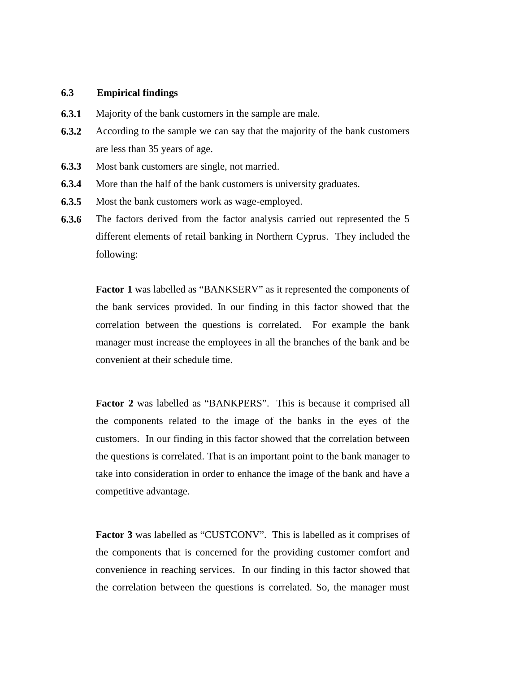#### **6.3 Empirical findings**

- **6.3.1** Majority of the bank customers in the sample are male.
- **6.3.2** According to the sample we can say that the majority of the bank customers are less than 35 years of age.
- **6.3.3** Most bank customers are single, not married.
- **6.3.4** More than the half of the bank customers is university graduates.
- **6.3.5** Most the bank customers work as wage-employed.
- **6.3.6** The factors derived from the factor analysis carried out represented the 5 different elements of retail banking in Northern Cyprus. They included the following:

**Factor 1** was labelled as "BANKSERV" as it represented the components of the bank services provided. In our finding in this factor showed that the correlation between the questions is correlated. For example the bank manager must increase the employees in all the branches of the bank and be convenient at their schedule time.

**Factor 2** was labelled as "BANKPERS". This is because it comprised all the components related to the image of the banks in the eyes of the customers. In our finding in this factor showed that the correlation between the questions is correlated. That is an important point to the bank manager to take into consideration in order to enhance the image of the bank and have a competitive advantage.

**Factor 3** was labelled as "CUSTCONV". This is labelled as it comprises of the components that is concerned for the providing customer comfort and convenience in reaching services. In our finding in this factor showed that the correlation between the questions is correlated. So, the manager must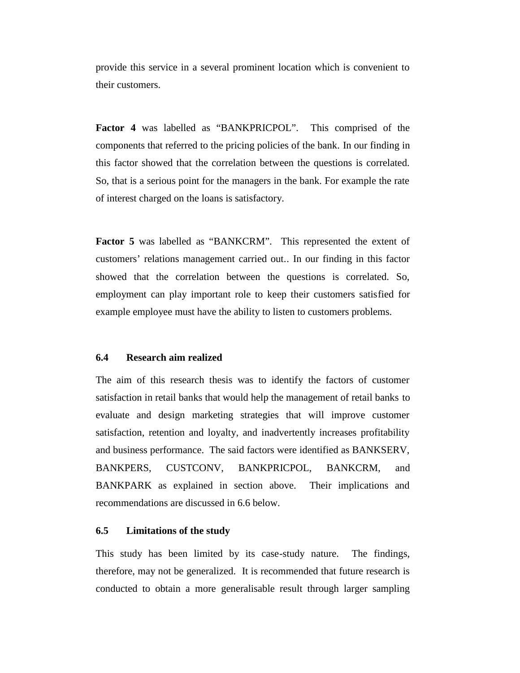provide this service in a several prominent location which is convenient to their customers.

**Factor 4** was labelled as "BANKPRICPOL". This comprised of the components that referred to the pricing policies of the bank. In our finding in this factor showed that the correlation between the questions is correlated. So, that is a serious point for the managers in the bank. For example the rate of interest charged on the loans is satisfactory.

**Factor 5** was labelled as "BANKCRM". This represented the extent of customers' relations management carried out.. In our finding in this factor showed that the correlation between the questions is correlated. So, employment can play important role to keep their customers satisfied for example employee must have the ability to listen to customers problems.

#### **6.4 Research aim realized**

The aim of this research thesis was to identify the factors of customer satisfaction in retail banks that would help the management of retail banks to evaluate and design marketing strategies that will improve customer satisfaction, retention and loyalty, and inadvertently increases profitability and business performance. The said factors were identified as BANKSERV, BANKPERS, CUSTCONV, BANKPRICPOL, BANKCRM, and BANKPARK as explained in section above. Their implications and recommendations are discussed in 6.6 below.

#### **6.5 Limitations of the study**

This study has been limited by its case-study nature. The findings, therefore, may not be generalized. It is recommended that future research is conducted to obtain a more generalisable result through larger sampling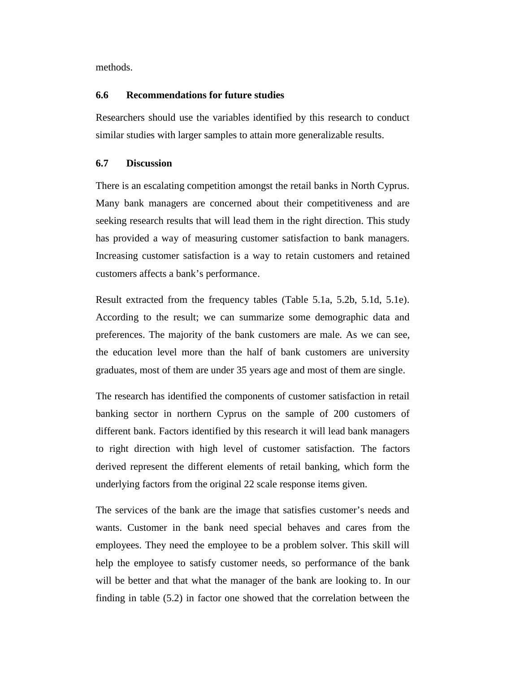methods.

## **6.6 Recommendations for future studies**

Researchers should use the variables identified by this research to conduct similar studies with larger samples to attain more generalizable results.

#### **6.7 Discussion**

There is an escalating competition amongst the retail banks in North Cyprus. Many bank managers are concerned about their competitiveness and are seeking research results that will lead them in the right direction. This study has provided a way of measuring customer satisfaction to bank managers. Increasing customer satisfaction is a way to retain customers and retained customers affects a bank's performance.

Result extracted from the frequency tables (Table 5.1a, 5.2b, 5.1d, 5.1e). According to the result; we can summarize some demographic data and preferences. The majority of the bank customers are male. As we can see, the education level more than the half of bank customers are university graduates, most of them are under 35 years age and most of them are single.

The research has identified the components of customer satisfaction in retail banking sector in northern Cyprus on the sample of 200 customers of different bank. Factors identified by this research it will lead bank managers to right direction with high level of customer satisfaction. The factors derived represent the different elements of retail banking, which form the underlying factors from the original 22 scale response items given.

The services of the bank are the image that satisfies customer's needs and wants. Customer in the bank need special behaves and cares from the employees. They need the employee to be a problem solver. This skill will help the employee to satisfy customer needs, so performance of the bank will be better and that what the manager of the bank are looking to. In our finding in table (5.2) in factor one showed that the correlation between the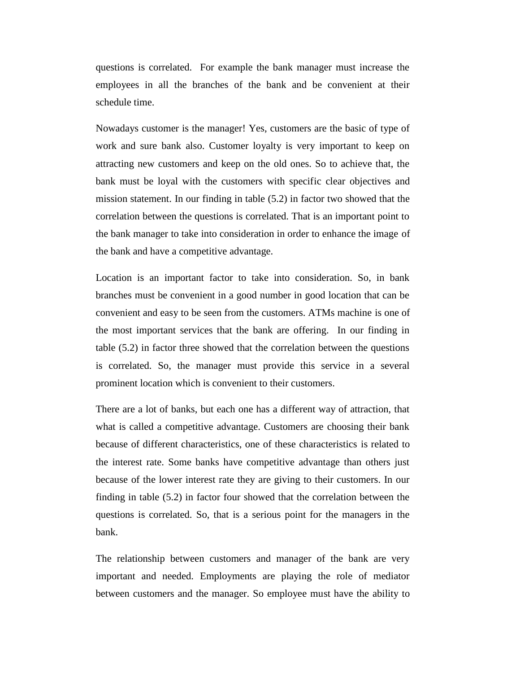questions is correlated. For example the bank manager must increase the employees in all the branches of the bank and be convenient at their schedule time.

Nowadays customer is the manager! Yes, customers are the basic of type of work and sure bank also. Customer loyalty is very important to keep on attracting new customers and keep on the old ones. So to achieve that, the bank must be loyal with the customers with specific clear objectives and mission statement. In our finding in table (5.2) in factor two showed that the correlation between the questions is correlated. That is an important point to the bank manager to take into consideration in order to enhance the image of the bank and have a competitive advantage.

Location is an important factor to take into consideration. So, in bank branches must be convenient in a good number in good location that can be convenient and easy to be seen from the customers. ATMs machine is one of the most important services that the bank are offering. In our finding in table (5.2) in factor three showed that the correlation between the questions is correlated. So, the manager must provide this service in a several prominent location which is convenient to their customers.

There are a lot of banks, but each one has a different way of attraction, that what is called a competitive advantage. Customers are choosing their bank because of different characteristics, one of these characteristics is related to the interest rate. Some banks have competitive advantage than others just because of the lower interest rate they are giving to their customers. In our finding in table (5.2) in factor four showed that the correlation between the questions is correlated. So, that is a serious point for the managers in the bank.

The relationship between customers and manager of the bank are very important and needed. Employments are playing the role of mediator between customers and the manager. So employee must have the ability to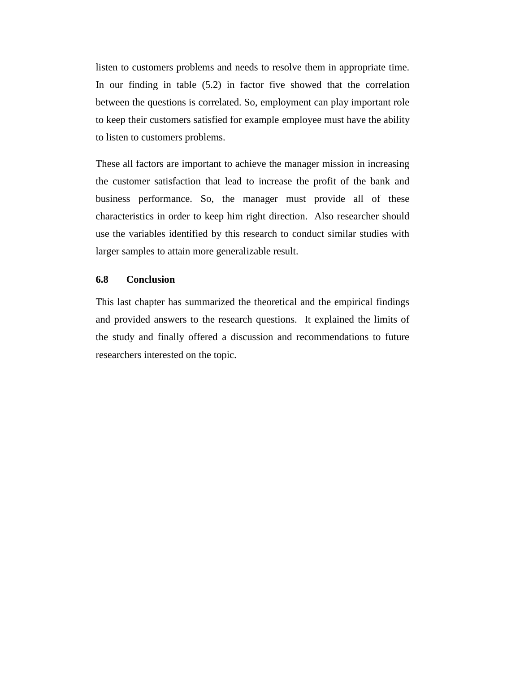listen to customers problems and needs to resolve them in appropriate time. In our finding in table (5.2) in factor five showed that the correlation between the questions is correlated. So, employment can play important role to keep their customers satisfied for example employee must have the ability to listen to customers problems.

These all factors are important to achieve the manager mission in increasing the customer satisfaction that lead to increase the profit of the bank and business performance. So, the manager must provide all of these characteristics in order to keep him right direction. Also researcher should use the variables identified by this research to conduct similar studies with larger samples to attain more generalizable result.

#### **6.8 Conclusion**

This last chapter has summarized the theoretical and the empirical findings and provided answers to the research questions. It explained the limits of the study and finally offered a discussion and recommendations to future researchers interested on the topic.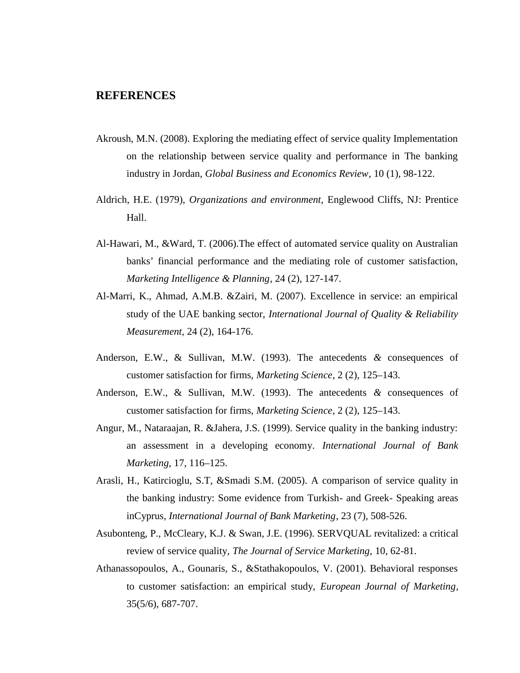## **REFERENCES**

- Akroush, M.N. (2008). Exploring the mediating effect of service quality Implementation on the relationship between service quality and performance in The banking industry in Jordan, *Global Business and Economics Review*, 10 (1), 98-122.
- Aldrich, H.E. (1979), *Organizations and environment,* Englewood Cliffs, NJ: Prentice Hall.
- Al-Hawari, M., &Ward, T. (2006).The effect of automated service quality on Australian banks' financial performance and the mediating role of customer satisfaction, *Marketing Intelligence & Planning*, 24 (2), 127-147.
- Al-Marri, K., Ahmad, A.M.B. &Zairi, M. (2007). Excellence in service: an empirical study of the UAE banking sector, *International Journal of Quality & Reliability Measurement,* 24 (2), 164-176.
- Anderson, E.W., & Sullivan, M.W. (1993). The antecedents *&* consequences of customer satisfaction for firms, *Marketing Science*, 2 (2), 125–143.
- Anderson, E.W., & Sullivan, M.W. (1993). The antecedents *&* consequences of customer satisfaction for firms, *Marketing Science*, 2 (2), 125–143.
- Angur, M., Nataraajan, R. &Jahera, J.S. (1999). Service quality in the banking industry: an assessment in a developing economy. *International Journal of Bank Marketing,* 17, 116–125.
- Arasli, H., Katircioglu, S.T, &Smadi S.M. (2005). A comparison of service quality in the banking industry: Some evidence from Turkish- and Greek- Speaking areas inCyprus, *International Journal of Bank Marketing*, 23 (7), 508-526.
- Asubonteng, P., McCleary, K.J. & Swan, J.E. (1996). SERVQUAL revitalized: a critical review of service quality, *The Journal of Service Marketing,* 10, 62-81.
- Athanassopoulos, A., Gounaris, S., &Stathakopoulos, V. (2001). Behavioral responses to customer satisfaction: an empirical study, *European Journal of Marketing*, 35(5/6), 687-707.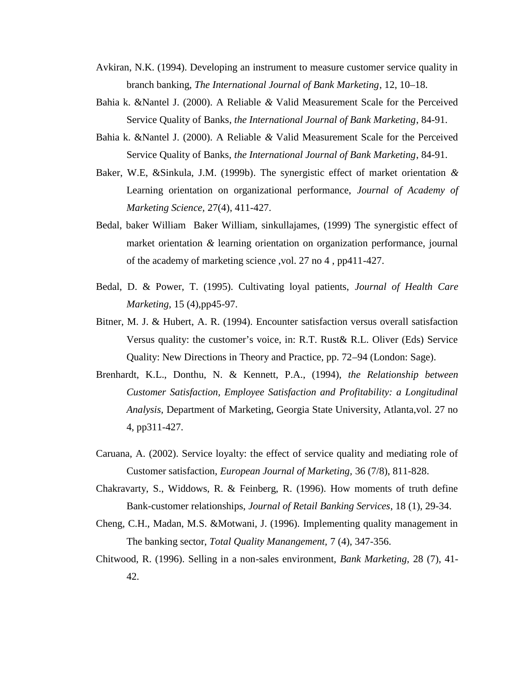- Avkiran, N.K. (1994). Developing an instrument to measure customer service quality in branch banking, *The International Journal of Bank Marketing*, 12, 10–18.
- Bahia k. &Nantel J. (2000). A Reliable *&* Valid Measurement Scale for the Perceived Service Quality of Banks, *the International Journal of Bank Marketing*, 84-91.
- Bahia k. &Nantel J. (2000). A Reliable *&* Valid Measurement Scale for the Perceived Service Quality of Banks, *the International Journal of Bank Marketing*, 84-91.
- Baker, W.E, &Sinkula, J.M. (1999b). The synergistic effect of market orientation *&* Learning orientation on organizational performance, *Journal of Academy of Marketing Science,* 27(4), 411-427.
- Bedal, baker William Baker William, sinkullajames, (1999) The synergistic effect of market orientation *&* learning orientation on organization performance, journal of the academy of marketing science ,vol. 27 no 4 , pp411-427.
- Bedal, D. & Power, T. (1995). Cultivating loyal patients, *Journal of Health Care Marketing,* 15 (4),pp45-97.
- Bitner, M. J. & Hubert, A. R. (1994). Encounter satisfaction versus overall satisfaction Versus quality: the customer's voice, in: R.T. Rust& R.L. Oliver (Eds) Service Quality: New Directions in Theory and Practice, pp. 72–94 (London: Sage).
- Brenhardt, K.L., Donthu, N. & Kennett, P.A., (1994), *the Relationship between Customer Satisfaction, Employee Satisfaction and Profitability: a Longitudinal Analysis,* Department of Marketing, Georgia State University, Atlanta,vol. 27 no 4, pp311-427.
- Caruana, A. (2002). Service loyalty: the effect of service quality and mediating role of Customer satisfaction, *European Journal of Marketing,* 36 (7/8), 811-828.
- Chakravarty, S., Widdows, R. & Feinberg, R. (1996). How moments of truth define Bank-customer relationships, *Journal of Retail Banking Services*, 18 (1), 29-34.
- Cheng, C.H., Madan, M.S. &Motwani, J. (1996). Implementing quality management in The banking sector, *Total Quality Manangement,* 7 (4), 347-356.
- Chitwood, R. (1996). Selling in a non-sales environment, *Bank Marketing,* 28 (7), 41- 42.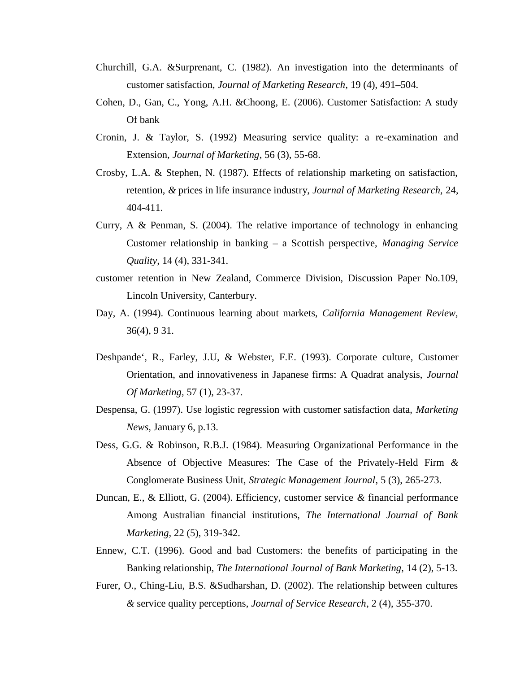- Churchill, G.A. &Surprenant, C. (1982). An investigation into the determinants of customer satisfaction, *Journal of Marketing Research*, 19 (4), 491–504.
- Cohen, D., Gan, C., Yong, A.H. &Choong, E. (2006). Customer Satisfaction: A study Of bank
- Cronin, J. & Taylor, S. (1992) Measuring service quality: a re-examination and Extension, *Journal of Marketing*, 56 (3), 55-68.
- Crosby, L.A. & Stephen, N. (1987). Effects of relationship marketing on satisfaction, retention, *&* prices in life insurance industry, *Journal of Marketing Research,* 24, 404-411.
- Curry, A & Penman, S. (2004). The relative importance of technology in enhancing Customer relationship in banking – a Scottish perspective, *Managing Service Quality,* 14 (4), 331-341.
- customer retention in New Zealand, Commerce Division, Discussion Paper No.109, Lincoln University, Canterbury.
- Day, A. (1994). Continuous learning about markets, *California Management Review,* 36(4), 9 31.
- Deshpande`, R., Farley, J.U, & Webster, F.E. (1993). Corporate culture, Customer Orientation, and innovativeness in Japanese firms: A Quadrat analysis, *Journal Of Marketing,* 57 (1), 23-37.
- Despensa, G. (1997). Use logistic regression with customer satisfaction data, *Marketing News,* January 6, p.13.
- Dess, G.G. & Robinson, R.B.J. (1984). Measuring Organizational Performance in the Absence of Objective Measures: The Case of the Privately-Held Firm *&* Conglomerate Business Unit, *Strategic Management Journal*, 5 (3), 265-273.
- Duncan, E., & Elliott, G. (2004). Efficiency, customer service *&* financial performance Among Australian financial institutions, *The International Journal of Bank Marketing,* 22 (5), 319-342.
- Ennew, C.T. (1996). Good and bad Customers: the benefits of participating in the Banking relationship, *The International Journal of Bank Marketing,* 14 (2), 5-13.
- Furer, O., Ching-Liu, B.S. &Sudharshan, D. (2002). The relationship between cultures *&* service quality perceptions, *Journal of Service Research*, 2 (4), 355-370.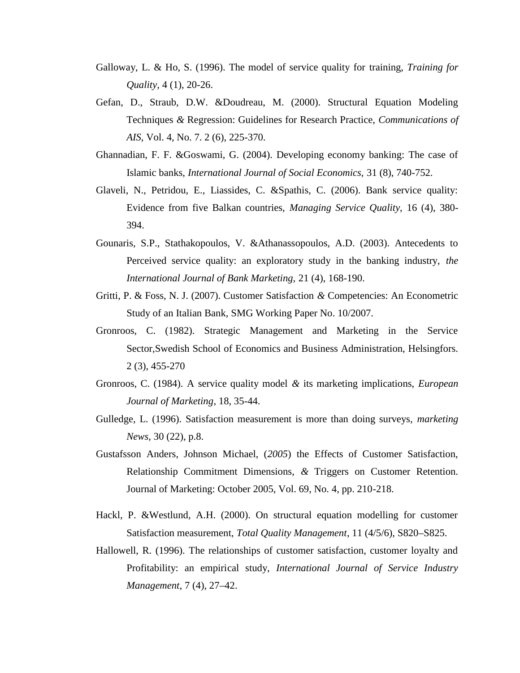- Galloway, L. & Ho, S. (1996). The model of service quality for training, *Training for Quality,* 4 (1), 20-26.
- Gefan, D., Straub, D.W. &Doudreau, M. (2000). Structural Equation Modeling Techniques *&* Regression: Guidelines for Research Practice, *Communications of AIS,* Vol. 4, No. 7. 2 (6), 225-370.
- Ghannadian, F. F. &Goswami, G. (2004). Developing economy banking: The case of Islamic banks, *International Journal of Social Economics,* 31 (8), 740-752.
- Glaveli, N., Petridou, E., Liassides, C. &Spathis, C. (2006). Bank service quality: Evidence from five Balkan countries, *Managing Service Quality,* 16 (4), 380- 394.
- Gounaris, S.P., Stathakopoulos, V. &Athanassopoulos, A.D. (2003). Antecedents to Perceived service quality: an exploratory study in the banking industry, *the International Journal of Bank Marketing,* 21 (4), 168-190.
- Gritti, P. & Foss, N. J. (2007). Customer Satisfaction *&* Competencies: An Econometric Study of an Italian Bank, SMG Working Paper No. 10/2007.
- Gronroos, C. (1982). Strategic Management and Marketing in the Service Sector,Swedish School of Economics and Business Administration, Helsingfors. 2 (3), 455-270
- Gronroos, C. (1984). A service quality model *&* its marketing implications, *European Journal of Marketing*, 18, 35-44.
- Gulledge, L. (1996). Satisfaction measurement is more than doing surveys, *marketing News,* 30 (22), p.8.
- Gustafsson Anders, Johnson Michael, (*2005*) the Effects of Customer Satisfaction, Relationship Commitment Dimensions, *&* Triggers on Customer Retention. Journal of Marketing: October 2005, Vol. 69, No. 4, pp. 210-218.
- Hackl, P. &Westlund, A.H. (2000). On structural equation modelling for customer Satisfaction measurement, *Total Quality Management*, 11 (4/5/6), S820–S825.
- Hallowell, R. (1996). The relationships of customer satisfaction, customer loyalty and Profitability: an empirical study, *International Journal of Service Industry Management*, 7 (4), 27–42.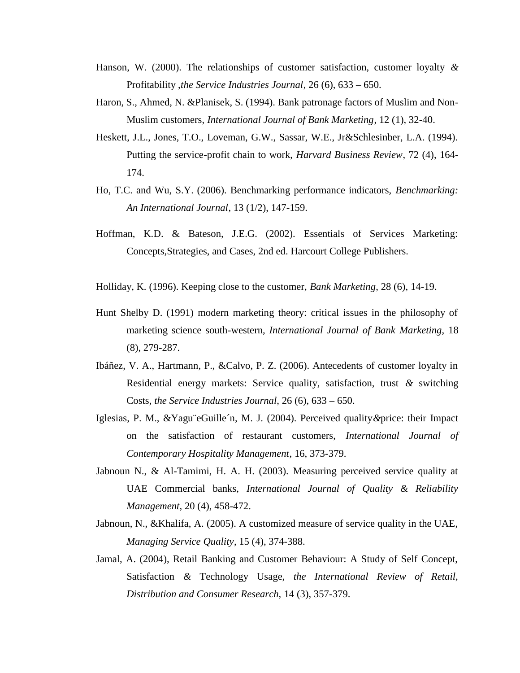- Hanson, W. (2000). The relationships of customer satisfaction, customer loyalty *&* Profitability ,*the Service Industries Journal*, 26 (6), 633 – 650.
- Haron, S., Ahmed, N. &Planisek, S. (1994). Bank patronage factors of Muslim and Non- Muslim customers, *International Journal of Bank Marketing*, 12 (1), 32-40.
- Heskett, J.L., Jones, T.O., Loveman, G.W., Sassar, W.E., Jr&Schlesinber, L.A. (1994). Putting the service-profit chain to work, *Harvard Business Review*, 72 (4), 164- 174.
- Ho, T.C. and Wu, S.Y. (2006). Benchmarking performance indicators, *Benchmarking: An International Journal*, 13 (1/2), 147-159.
- Hoffman, K.D. & Bateson, J.E.G. (2002). Essentials of Services Marketing: Concepts,Strategies, and Cases, 2nd ed. Harcourt College Publishers.
- Holliday, K. (1996). Keeping close to the customer, *Bank Marketing*, 28 (6), 14-19.
- Hunt Shelby D. (1991) modern marketing theory: critical issues in the philosophy of marketing science south-western, *International Journal of Bank Marketing*, 18 (8), 279-287.
- Ibáñez, V. A., Hartmann, P., &Calvo, P. Z. (2006). Antecedents of customer loyalty in Residential energy markets: Service quality, satisfaction, trust *&* switching Costs, *the Service Industries Journal*, 26 (6), 633 – 650.
- Iglesias, P. M., &Yagu¨eGuille´n, M. J. (2004). Perceived quality*&*price: their Impact on the satisfaction of restaurant customers, *International Journal of Contemporary Hospitality Management*, 16, 373-379.
- Jabnoun N., & Al-Tamimi, H. A. H. (2003). Measuring perceived service quality at UAE Commercial banks, *International Journal of Quality & Reliability Management,* 20 (4), 458-472.
- Jabnoun, N., &Khalifa, A. (2005). A customized measure of service quality in the UAE, *Managing Service Quality*, 15 (4), 374-388.
- Jamal, A. (2004), Retail Banking and Customer Behaviour: A Study of Self Concept, Satisfaction *&* Technology Usage, *the International Review of Retail, Distribution and Consumer Research,* 14 (3), 357-379.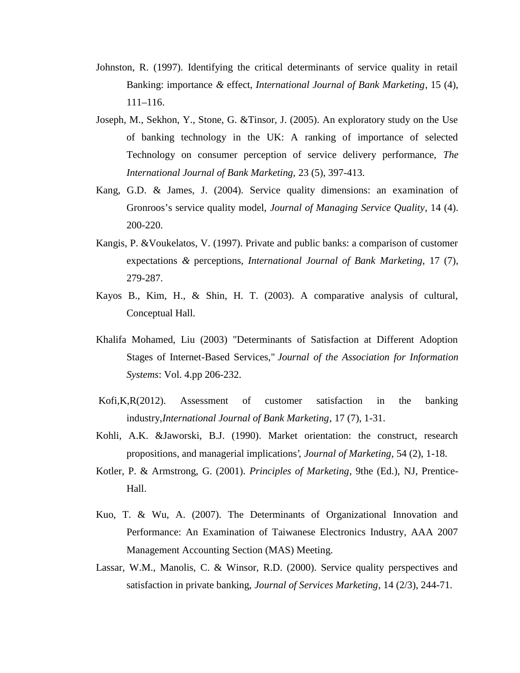- Johnston, R. (1997). Identifying the critical determinants of service quality in retail Banking: importance *&* effect, *International Journal of Bank Marketing*, 15 (4), 111–116.
- Joseph, M., Sekhon, Y., Stone, G. &Tinsor, J. (2005). An exploratory study on the Use of banking technology in the UK: A ranking of importance of selected Technology on consumer perception of service delivery performance, *The International Journal of Bank Marketing,* 23 (5), 397-413.
- Kang, G.D. & James, J. (2004). Service quality dimensions: an examination of Gronroos's service quality model, *Journal of Managing Service Quality*, 14 (4). 200-220.
- Kangis, P. &Voukelatos, V. (1997). Private and public banks: a comparison of customer expectations *&* perceptions, *International Journal of Bank Marketing*, 17 (7), 279-287.
- Kayos B., Kim, H., & Shin, H. T. (2003). A comparative analysis of cultural, Conceptual Hall.
- Khalifa Mohamed, Liu (2003) "Determinants of Satisfaction at Different Adoption Stages of Internet-Based Services," *Journal of the Association for Information Systems*: Vol. 4.pp 206-232.
- Kofi,K,R(2012). Assessment of customer satisfaction in the banking industry,*International Journal of Bank Marketing*, 17 (7), 1-31.
- Kohli, A.K. &Jaworski, B.J. (1990). Market orientation: the construct, research propositions, and managerial implications', *Journal of Marketing*, 54 (2), 1-18.
- Kotler, P. & Armstrong, G. (2001). *Principles of Marketing*, 9the (Ed.), NJ, Prentice- Hall.
- Kuo, T. & Wu, A. (2007). The Determinants of Organizational Innovation and Performance: An Examination of Taiwanese Electronics Industry, AAA 2007 Management Accounting Section (MAS) Meeting.
- Lassar, W.M., Manolis, C. & Winsor, R.D. (2000). Service quality perspectives and satisfaction in private banking, *Journal of Services Marketing*, 14 (2/3), 244-71.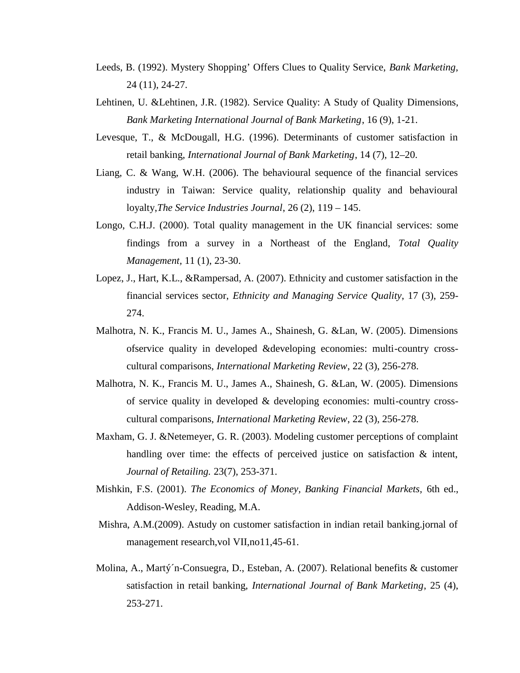- Leeds, B. (1992). Mystery Shopping' Offers Clues to Quality Service, *Bank Marketing,* 24 (11), 24-27.
- Lehtinen, U. &Lehtinen, J.R. (1982). Service Quality: A Study of Quality Dimensions, *Bank Marketing International Journal of Bank Marketing*, 16 (9), 1-21.
- Levesque, T., & McDougall, H.G. (1996). Determinants of customer satisfaction in retail banking, *International Journal of Bank Marketing*, 14 (7), 12–20.
- Liang, C. & Wang, W.H. (2006). The behavioural sequence of the financial services industry in Taiwan: Service quality, relationship quality and behavioural loyalty,*The Service Industries Journal*, 26 (2), 119 – 145.
- Longo, C.H.J. (2000). Total quality management in the UK financial services: some findings from a survey in a Northeast of the England, *Total Quality Management,* 11 (1), 23-30.
- Lopez, J., Hart, K.L., &Rampersad, A. (2007). Ethnicity and customer satisfaction in the financial services sector, *Ethnicity and Managing Service Quality*, 17 (3), 259- 274.
- Malhotra, N. K., Francis M. U., James A., Shainesh, G. &Lan, W. (2005). Dimensions ofservice quality in developed &developing economies: multi-country cross cultural comparisons, *International Marketing Review*, 22 (3), 256-278.
- Malhotra, N. K., Francis M. U., James A., Shainesh, G. &Lan, W. (2005). Dimensions of service quality in developed & developing economies: multi-country cross cultural comparisons, *International Marketing Review*, 22 (3), 256-278.
- Maxham, G. J. &Netemeyer, G. R. (2003). Modeling customer perceptions of complaint handling over time: the effects of perceived justice on satisfaction  $\&$  intent, *Journal of Retailing.* 23(7), 253-371.
- Mishkin, F.S. (2001). *The Economics of Money, Banking Financial Markets,* 6th ed., Addison-Wesley, Reading, M.A.
- Mishra, A.M.(2009). Astudy on customer satisfaction in indian retail banking.jornal of management research,vol VII,no11,45-61.
- Molina, A., Martý´n-Consuegra, D., Esteban, A. (2007). Relational benefits & customer satisfaction in retail banking, *International Journal of Bank Marketing*, 25 (4), 253-271.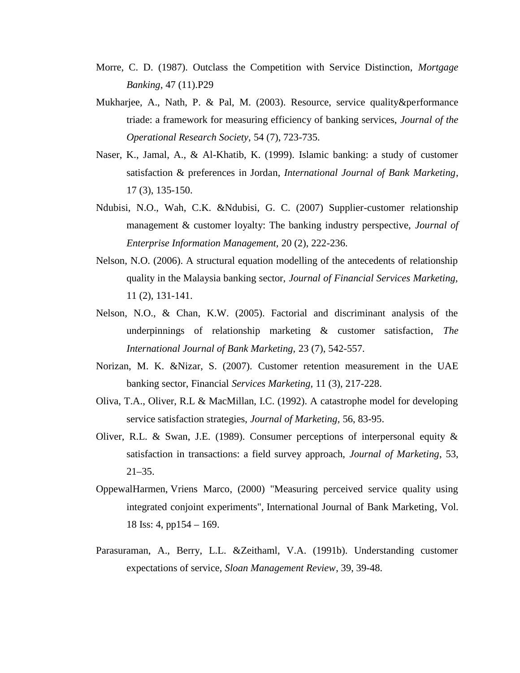- Morre, C. D. (1987). Outclass the Competition with Service Distinction, *Mortgage Banking*, 47 (11).P29
- Mukharjee, A., Nath, P. & Pal, M. (2003). Resource, service quality&performance triade: a framework for measuring efficiency of banking services, *Journal of the Operational Research Society,* 54 (7), 723-735.
- Naser, K., Jamal, A., & Al-Khatib, K. (1999). Islamic banking: a study of customer satisfaction & preferences in Jordan, *International Journal of Bank Marketing*, 17 (3), 135-150.
- Ndubisi, N.O., Wah, C.K. &Ndubisi, G. C. (2007) Supplier-customer relationship management & customer loyalty: The banking industry perspective, *Journal of Enterprise Information Management,* 20 (2), 222-236.
- Nelson, N.O. (2006). A structural equation modelling of the antecedents of relationship quality in the Malaysia banking sector, *Journal of Financial Services Marketing,* 11 (2), 131-141.
- Nelson, N.O., & Chan, K.W. (2005). Factorial and discriminant analysis of the underpinnings of relationship marketing & customer satisfaction, *The International Journal of Bank Marketing,* 23 (7), 542-557.
- Norizan, M. K. &Nizar, S. (2007). Customer retention measurement in the UAE banking sector, Financial *Services Marketing,* 11 (3), 217-228.
- Oliva, T.A., Oliver, R.L & MacMillan, I.C. (1992). A catastrophe model for developing service satisfaction strategies, *Journal of Marketing,* 56, 83-95.
- Oliver, R.L. & Swan, J.E. (1989). Consumer perceptions of interpersonal equity & satisfaction in transactions: a field survey approach, *Journal of Marketing*, 53,  $21 - 35$ .
- OppewalHarmen, Vriens Marco, (2000) "Measuring perceived service quality using integrated conjoint experiments", International Journal of Bank Marketing, Vol. 18 Iss: 4, pp154 – 169.
- Parasuraman, A., Berry, L.L. &Zeithaml, V.A. (1991b). Understanding customer expectations of service, *Sloan Management Review*, 39, 39-48.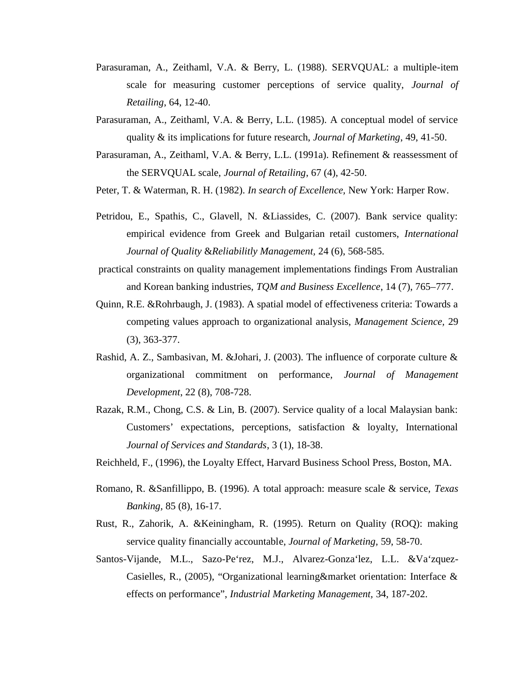- Parasuraman, A., Zeithaml, V.A. & Berry, L. (1988). SERVQUAL: a multiple-item scale for measuring customer perceptions of service quality, *Journal of Retailing*, 64, 12-40.
- Parasuraman, A., Zeithaml, V.A. & Berry, L.L. (1985). A conceptual model of service quality & its implications for future research, *Journal of Marketing*, 49, 41-50.
- Parasuraman, A., Zeithaml, V.A. & Berry, L.L. (1991a). Refinement & reassessment of the SERVQUAL scale, *Journal of Retailing*, 67 (4), 42-50.
- Peter, T. & Waterman, R. H. (1982). *In search of Excellence,* New York: Harper Row.
- Petridou, E., Spathis, C., Glavell, N. &Liassides, C. (2007). Bank service quality: empirical evidence from Greek and Bulgarian retail customers, *International Journal of Quality* &*Reliabilitly Management,* 24 (6), 568-585.
- practical constraints on quality management implementations findings From Australian and Korean banking industries, *TQM and Business Excellence*, 14 (7), 765–777.
- Quinn, R.E. &Rohrbaugh, J. (1983). A spatial model of effectiveness criteria: Towards a competing values approach to organizational analysis, *Management Science,* 29 (3), 363-377.
- Rashid, A. Z., Sambasivan, M. &Johari, J. (2003). The influence of corporate culture & organizational commitment on performance, *Journal of Management Development*, 22 (8), 708-728.
- Razak, R.M., Chong, C.S. & Lin, B. (2007). Service quality of a local Malaysian bank: Customers' expectations, perceptions, satisfaction & loyalty, International *Journal of Services and Standards*, 3 (1), 18-38.
- Reichheld, F., (1996), the Loyalty Effect, Harvard Business School Press, Boston, MA.
- Romano, R. &Sanfillippo, B. (1996). A total approach: measure scale & service, *Texas Banking,* 85 (8), 16-17.
- Rust, R., Zahorik, A. &Keiningham, R. (1995). Return on Quality (ROQ): making service quality financially accountable, *Journal of Marketing,* 59, 58-70.
- Santos-Vijande, M.L., Sazo-Pe`rez, M.J., Alvarez-Gonza`lez, L.L. &Va`zquez- Casielles, R., (2005), "Organizational learning&market orientation: Interface & effects on performance", *Industrial Marketing Management,* 34, 187-202.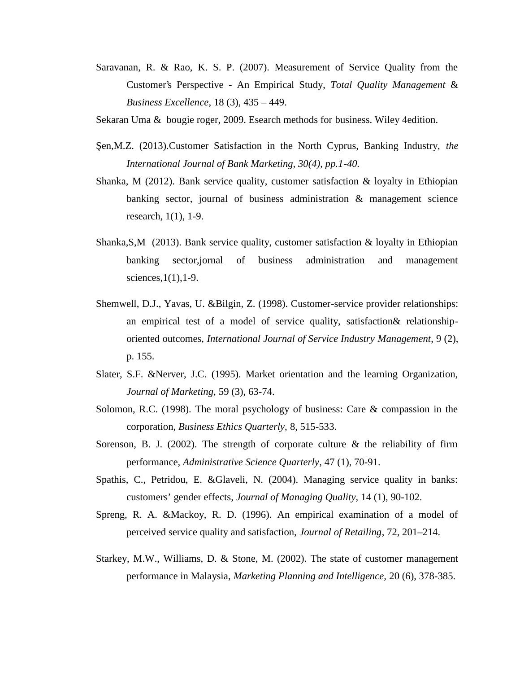- Saravanan, R. & Rao, K. S. P. (2007). Measurement of Service Quality from the Customer's Perspective - An Empirical Study, *Total Quality Management* & *Business Excellence*, 18 (3), 435 – 449.
- Sekaran Uma & bougie roger, 2009. Esearch methods for business. Wiley 4edition.
- en,M.Z. (2013).Customer Satisfaction in the North Cyprus, Banking Industry, the *International Journal of Bank Marketing, 30(4), pp.1-40.*
- Shanka, M (2012). Bank service quality, customer satisfaction  $\&$  loyalty in Ethiopian banking sector, journal of business administration & management science research, 1(1), 1-9.
- Shanka,S,M (2013). Bank service quality, customer satisfaction & loyalty in Ethiopian banking sector,jornal of business administration and management sciences, $1(1)$ , $1-9$ .
- Shemwell, D.J., Yavas, U. &Bilgin, Z. (1998). Customer-service provider relationships: an empirical test of a model of service quality, satisfaction& relationship oriented outcomes, *International Journal of Service Industry Management*, 9 (2), p. 155.
- Slater, S.F. &Nerver, J.C. (1995). Market orientation and the learning Organization, *Journal of Marketing,* 59 (3), 63-74.
- Solomon, R.C. (1998). The moral psychology of business: Care & compassion in the corporation, *Business Ethics Quarterly,* 8, 515-533.
- Sorenson, B. J. (2002). The strength of corporate culture  $\&$  the reliability of firm performance, *Administrative Science Quarterly*, 47 (1), 70-91.
- Spathis, C., Petridou, E. &Glaveli, N. (2004). Managing service quality in banks: customers' gender effects, *Journal of Managing Quality,* 14 (1), 90-102.
- Spreng, R. A. &Mackoy, R. D. (1996). An empirical examination of a model of perceived service quality and satisfaction, *Journal of Retailing*, 72, 201–214.
- Starkey, M.W., Williams, D. & Stone, M. (2002). The state of customer management performance in Malaysia, *Marketing Planning and Intelligence,* 20 (6), 378-385.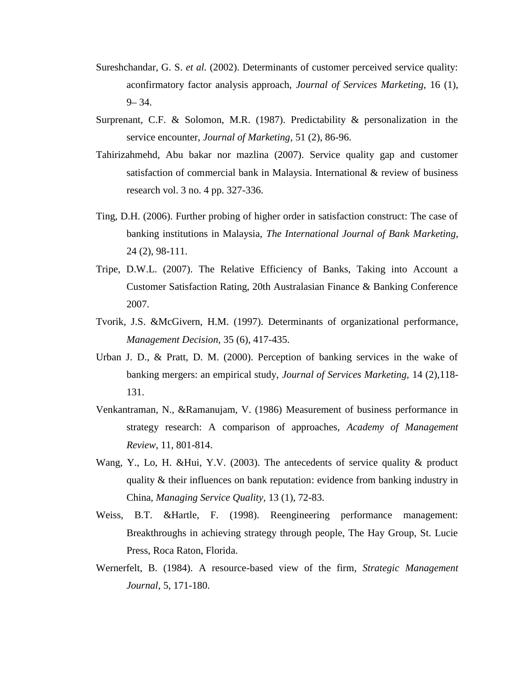- Sureshchandar, G. S. *et al.* (2002). Determinants of customer perceived service quality: aconfirmatory factor analysis approach, *Journal of Services Marketing*, 16 (1),  $9 - 34.$
- Surprenant, C.F. & Solomon, M.R. (1987). Predictability & personalization in the service encounter, *Journal of Marketing*, 51 (2), 86-96.
- Tahirizahmehd, Abu bakar nor mazlina (2007). Service quality gap and customer satisfaction of commercial bank in Malaysia. International & review of business research vol. 3 no. 4 pp. 327-336.
- Ting, D.H. (2006). Further probing of higher order in satisfaction construct: The case of banking institutions in Malaysia, *The International Journal of Bank Marketing,* 24 (2), 98-111.
- Tripe, D.W.L. (2007). The Relative Efficiency of Banks, Taking into Account a Customer Satisfaction Rating, 20th Australasian Finance & Banking Conference 2007.
- Tvorik, J.S. &McGivern, H.M. (1997). Determinants of organizational performance, *Management Decision,* 35 (6), 417-435.
- Urban J. D., & Pratt, D. M. (2000). Perception of banking services in the wake of banking mergers: an empirical study, *Journal of Services Marketing,* 14 (2),118- 131.
- Venkantraman, N., &Ramanujam, V. (1986) Measurement of business performance in strategy research: A comparison of approaches, *Academy of Management Review,* 11, 801-814.
- Wang, Y., Lo, H. &Hui, Y.V. (2003). The antecedents of service quality & product quality & their influences on bank reputation: evidence from banking industry in China, *Managing Service Quality,* 13 (1), 72-83.
- Weiss, B.T. &Hartle, F. (1998). Reengineering performance management: Breakthroughs in achieving strategy through people, The Hay Group, St. Lucie Press, Roca Raton, Florida.
- Wernerfelt, B. (1984). A resource-based view of the firm, *Strategic Management Journal*, 5, 171-180.